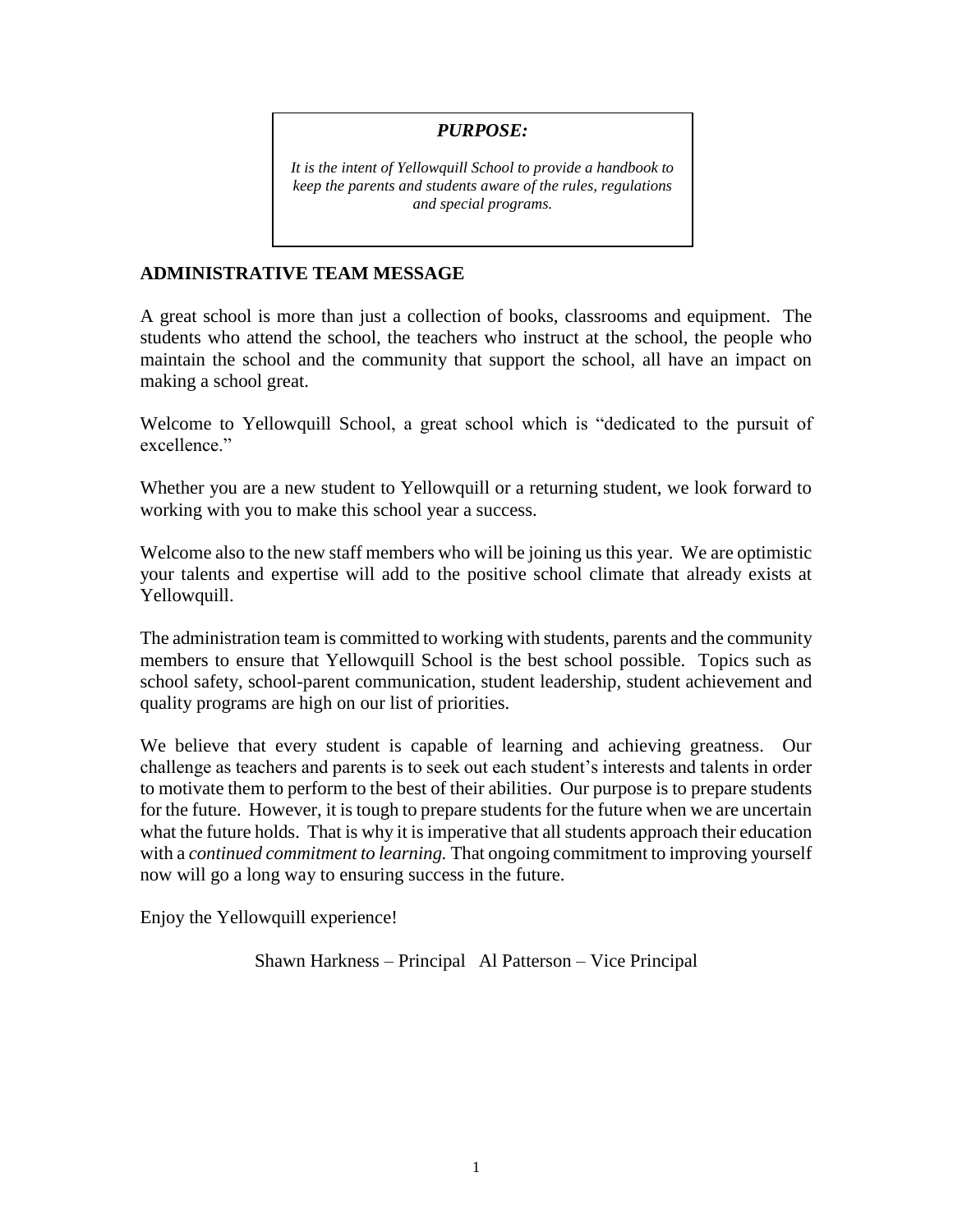## *PURPOSE:*

*It is the intent of Yellowquill School to provide a handbook to keep the parents and students aware of the rules, regulations and special programs.* 

## **ADMINISTRATIVE TEAM MESSAGE**

A great school is more than just a collection of books, classrooms and equipment. The students who attend the school, the teachers who instruct at the school, the people who maintain the school and the community that support the school, all have an impact on making a school great.

Welcome to Yellowquill School, a great school which is "dedicated to the pursuit of excellence."

Whether you are a new student to Yellowquill or a returning student, we look forward to working with you to make this school year a success.

Welcome also to the new staff members who will be joining us this year. We are optimistic your talents and expertise will add to the positive school climate that already exists at Yellowquill.

The administration team is committed to working with students, parents and the community members to ensure that Yellowquill School is the best school possible. Topics such as school safety, school-parent communication, student leadership, student achievement and quality programs are high on our list of priorities.

We believe that every student is capable of learning and achieving greatness. Our challenge as teachers and parents is to seek out each student's interests and talents in order to motivate them to perform to the best of their abilities. Our purpose is to prepare students for the future. However, it is tough to prepare students for the future when we are uncertain what the future holds. That is why it is imperative that all students approach their education with a *continued commitment to learning.* That ongoing commitment to improving yourself now will go a long way to ensuring success in the future.

Enjoy the Yellowquill experience!

Shawn Harkness – Principal Al Patterson – Vice Principal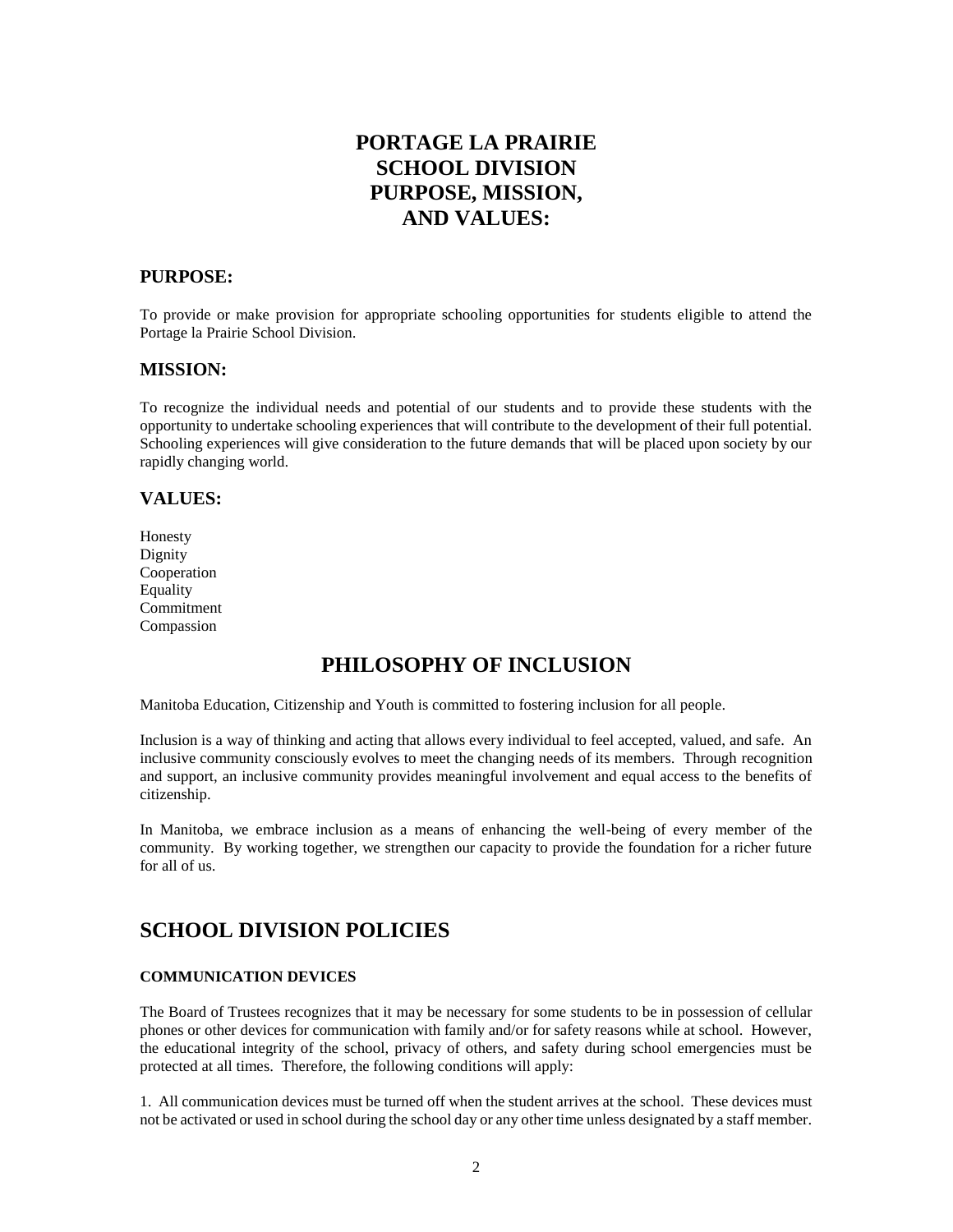## **PORTAGE LA PRAIRIE SCHOOL DIVISION PURPOSE, MISSION, AND VALUES:**

## **PURPOSE:**

To provide or make provision for appropriate schooling opportunities for students eligible to attend the Portage la Prairie School Division.

#### **MISSION:**

To recognize the individual needs and potential of our students and to provide these students with the opportunity to undertake schooling experiences that will contribute to the development of their full potential. Schooling experiences will give consideration to the future demands that will be placed upon society by our rapidly changing world.

## **VALUES:**

Honesty Dignity Cooperation Equality Commitment Compassion

## **PHILOSOPHY OF INCLUSION**

Manitoba Education, Citizenship and Youth is committed to fostering inclusion for all people.

Inclusion is a way of thinking and acting that allows every individual to feel accepted, valued, and safe. An inclusive community consciously evolves to meet the changing needs of its members. Through recognition and support, an inclusive community provides meaningful involvement and equal access to the benefits of citizenship.

In Manitoba, we embrace inclusion as a means of enhancing the well-being of every member of the community. By working together, we strengthen our capacity to provide the foundation for a richer future for all of us.

## **SCHOOL DIVISION POLICIES**

#### **COMMUNICATION DEVICES**

The Board of Trustees recognizes that it may be necessary for some students to be in possession of cellular phones or other devices for communication with family and/or for safety reasons while at school. However, the educational integrity of the school, privacy of others, and safety during school emergencies must be protected at all times. Therefore, the following conditions will apply:

1. All communication devices must be turned off when the student arrives at the school. These devices must not be activated or used in school during the school day or any other time unless designated by a staff member.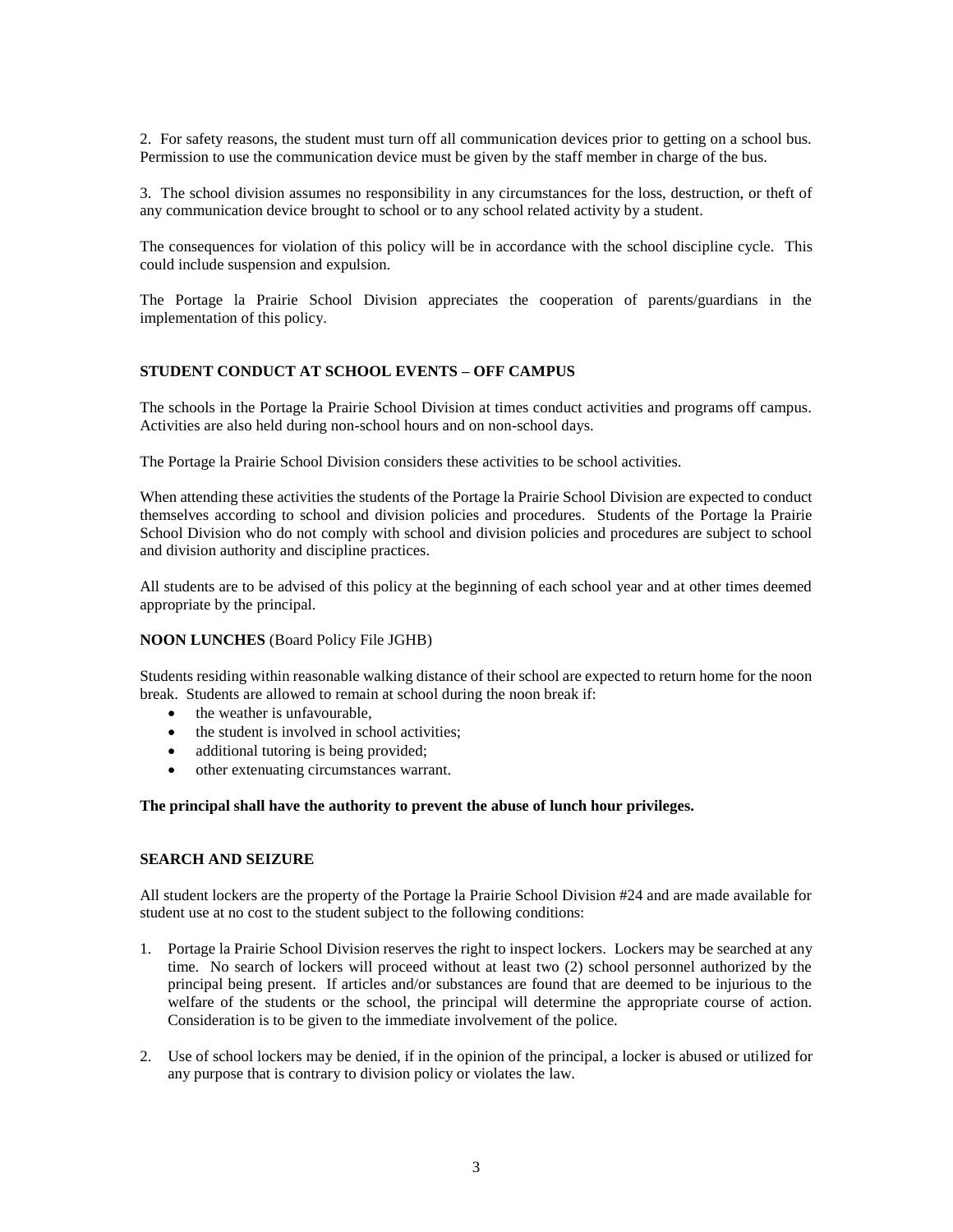2. For safety reasons, the student must turn off all communication devices prior to getting on a school bus. Permission to use the communication device must be given by the staff member in charge of the bus.

3. The school division assumes no responsibility in any circumstances for the loss, destruction, or theft of any communication device brought to school or to any school related activity by a student.

The consequences for violation of this policy will be in accordance with the school discipline cycle. This could include suspension and expulsion.

The Portage la Prairie School Division appreciates the cooperation of parents/guardians in the implementation of this policy.

#### **STUDENT CONDUCT AT SCHOOL EVENTS – OFF CAMPUS**

The schools in the Portage la Prairie School Division at times conduct activities and programs off campus. Activities are also held during non-school hours and on non-school days.

The Portage la Prairie School Division considers these activities to be school activities.

When attending these activities the students of the Portage la Prairie School Division are expected to conduct themselves according to school and division policies and procedures. Students of the Portage la Prairie School Division who do not comply with school and division policies and procedures are subject to school and division authority and discipline practices.

All students are to be advised of this policy at the beginning of each school year and at other times deemed appropriate by the principal.

#### **NOON LUNCHES** (Board Policy File JGHB)

Students residing within reasonable walking distance of their school are expected to return home for the noon break. Students are allowed to remain at school during the noon break if:

- the weather is unfavourable.
- the student is involved in school activities:
- additional tutoring is being provided;
- other extenuating circumstances warrant.

#### **The principal shall have the authority to prevent the abuse of lunch hour privileges.**

#### **SEARCH AND SEIZURE**

All student lockers are the property of the Portage la Prairie School Division #24 and are made available for student use at no cost to the student subject to the following conditions:

- 1. Portage la Prairie School Division reserves the right to inspect lockers. Lockers may be searched at any time. No search of lockers will proceed without at least two (2) school personnel authorized by the principal being present. If articles and/or substances are found that are deemed to be injurious to the welfare of the students or the school, the principal will determine the appropriate course of action. Consideration is to be given to the immediate involvement of the police.
- 2. Use of school lockers may be denied, if in the opinion of the principal, a locker is abused or utilized for any purpose that is contrary to division policy or violates the law.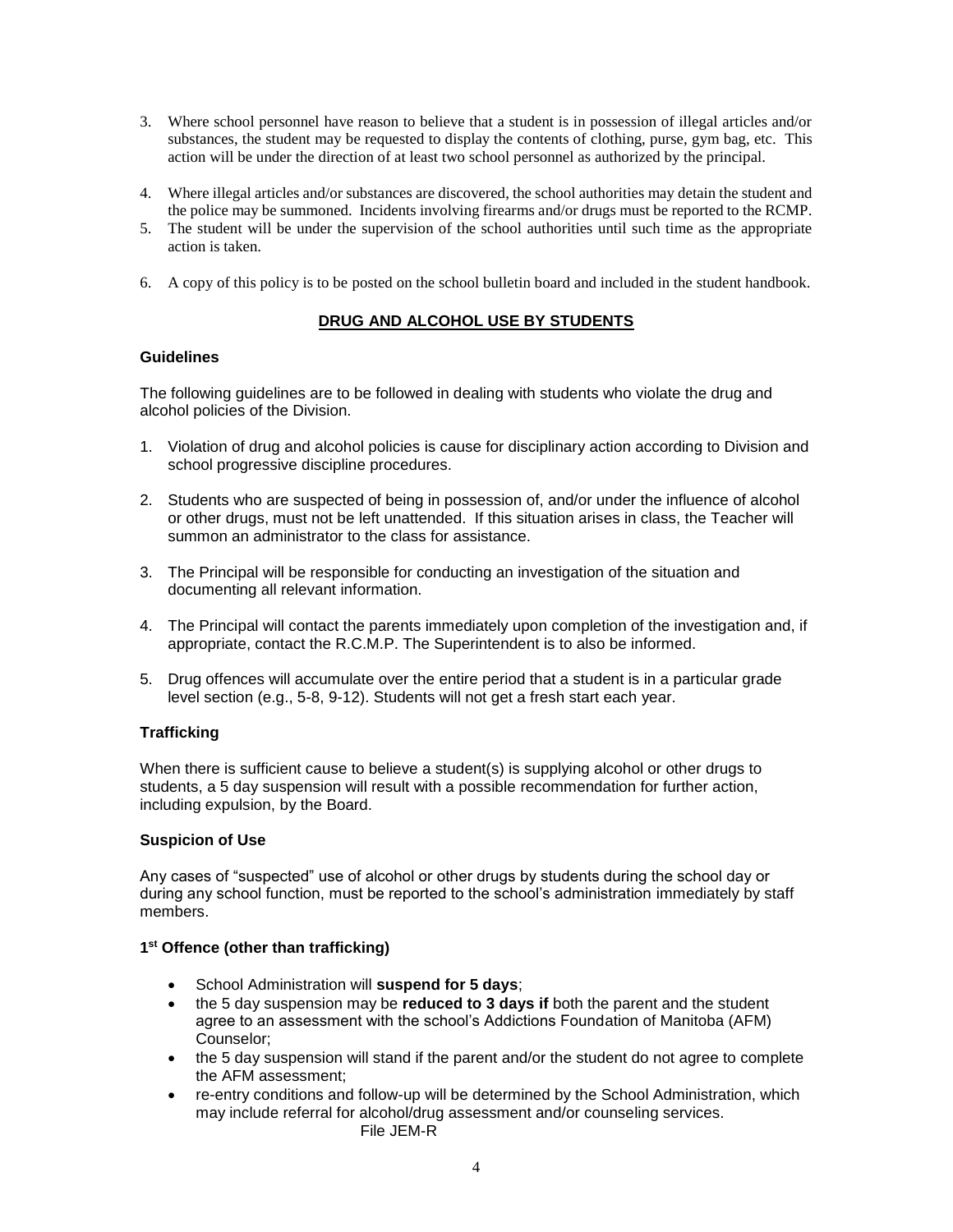- 3. Where school personnel have reason to believe that a student is in possession of illegal articles and/or substances, the student may be requested to display the contents of clothing, purse, gym bag, etc. This action will be under the direction of at least two school personnel as authorized by the principal.
- 4. Where illegal articles and/or substances are discovered, the school authorities may detain the student and the police may be summoned. Incidents involving firearms and/or drugs must be reported to the RCMP.
- 5. The student will be under the supervision of the school authorities until such time as the appropriate action is taken.
- 6. A copy of this policy is to be posted on the school bulletin board and included in the student handbook.

## **DRUG AND ALCOHOL USE BY STUDENTS**

#### **Guidelines**

The following guidelines are to be followed in dealing with students who violate the drug and alcohol policies of the Division.

- 1. Violation of drug and alcohol policies is cause for disciplinary action according to Division and school progressive discipline procedures.
- 2. Students who are suspected of being in possession of, and/or under the influence of alcohol or other drugs, must not be left unattended. If this situation arises in class, the Teacher will summon an administrator to the class for assistance.
- 3. The Principal will be responsible for conducting an investigation of the situation and documenting all relevant information.
- 4. The Principal will contact the parents immediately upon completion of the investigation and, if appropriate, contact the R.C.M.P. The Superintendent is to also be informed.
- 5. Drug offences will accumulate over the entire period that a student is in a particular grade level section (e.g., 5-8, 9-12). Students will not get a fresh start each year.

## **Trafficking**

When there is sufficient cause to believe a student(s) is supplying alcohol or other drugs to students, a 5 day suspension will result with a possible recommendation for further action, including expulsion, by the Board.

#### **Suspicion of Use**

Any cases of "suspected" use of alcohol or other drugs by students during the school day or during any school function, must be reported to the school's administration immediately by staff members.

#### **1 st Offence (other than trafficking)**

- School Administration will **suspend for 5 days**;
- the 5 day suspension may be **reduced to 3 days if** both the parent and the student agree to an assessment with the school's Addictions Foundation of Manitoba (AFM) Counselor;
- the 5 day suspension will stand if the parent and/or the student do not agree to complete the AFM assessment;
- re-entry conditions and follow-up will be determined by the School Administration, which may include referral for alcohol/drug assessment and/or counseling services. File JEM-R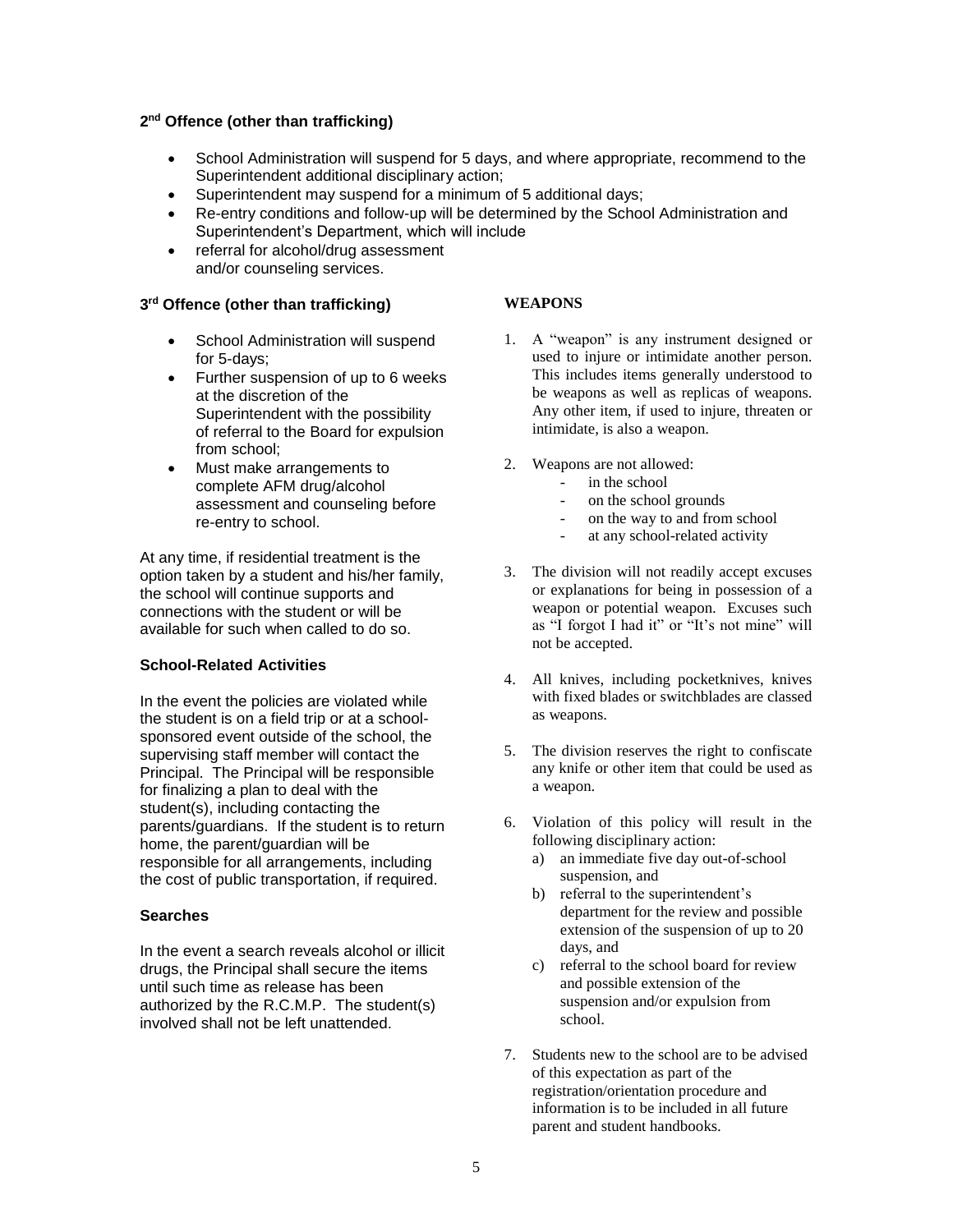#### **2 nd Offence (other than trafficking)**

- School Administration will suspend for 5 days, and where appropriate, recommend to the Superintendent additional disciplinary action;
- Superintendent may suspend for a minimum of 5 additional days;
- Re-entry conditions and follow-up will be determined by the School Administration and Superintendent's Department, which will include
- referral for alcohol/drug assessment and/or counseling services.

## **3 rd Offence (other than trafficking)**

- School Administration will suspend for 5-days;
- Further suspension of up to 6 weeks at the discretion of the Superintendent with the possibility of referral to the Board for expulsion from school;
- Must make arrangements to complete AFM drug/alcohol assessment and counseling before re-entry to school.

At any time, if residential treatment is the option taken by a student and his/her family, the school will continue supports and connections with the student or will be available for such when called to do so.

#### **School-Related Activities**

In the event the policies are violated while the student is on a field trip or at a schoolsponsored event outside of the school, the supervising staff member will contact the Principal. The Principal will be responsible for finalizing a plan to deal with the student(s), including contacting the parents/guardians. If the student is to return home, the parent/guardian will be responsible for all arrangements, including the cost of public transportation, if required.

#### **Searches**

In the event a search reveals alcohol or illicit drugs, the Principal shall secure the items until such time as release has been authorized by the R.C.M.P. The student(s) involved shall not be left unattended.

#### **WEAPONS**

- 1. A "weapon" is any instrument designed or used to injure or intimidate another person. This includes items generally understood to be weapons as well as replicas of weapons. Any other item, if used to injure, threaten or intimidate, is also a weapon.
- 2. Weapons are not allowed:
	- in the school
		- on the school grounds
		- on the way to and from school
		- at any school-related activity
- 3. The division will not readily accept excuses or explanations for being in possession of a weapon or potential weapon. Excuses such as "I forgot I had it" or "It's not mine" will not be accepted.
- 4. All knives, including pocketknives, knives with fixed blades or switchblades are classed as weapons.
- 5. The division reserves the right to confiscate any knife or other item that could be used as a weapon.
- 6. Violation of this policy will result in the following disciplinary action:
	- a) an immediate five day out-of-school suspension, and
	- b) referral to the superintendent's department for the review and possible extension of the suspension of up to 20 days, and
	- c) referral to the school board for review and possible extension of the suspension and/or expulsion from school.
- 7. Students new to the school are to be advised of this expectation as part of the registration/orientation procedure and information is to be included in all future parent and student handbooks.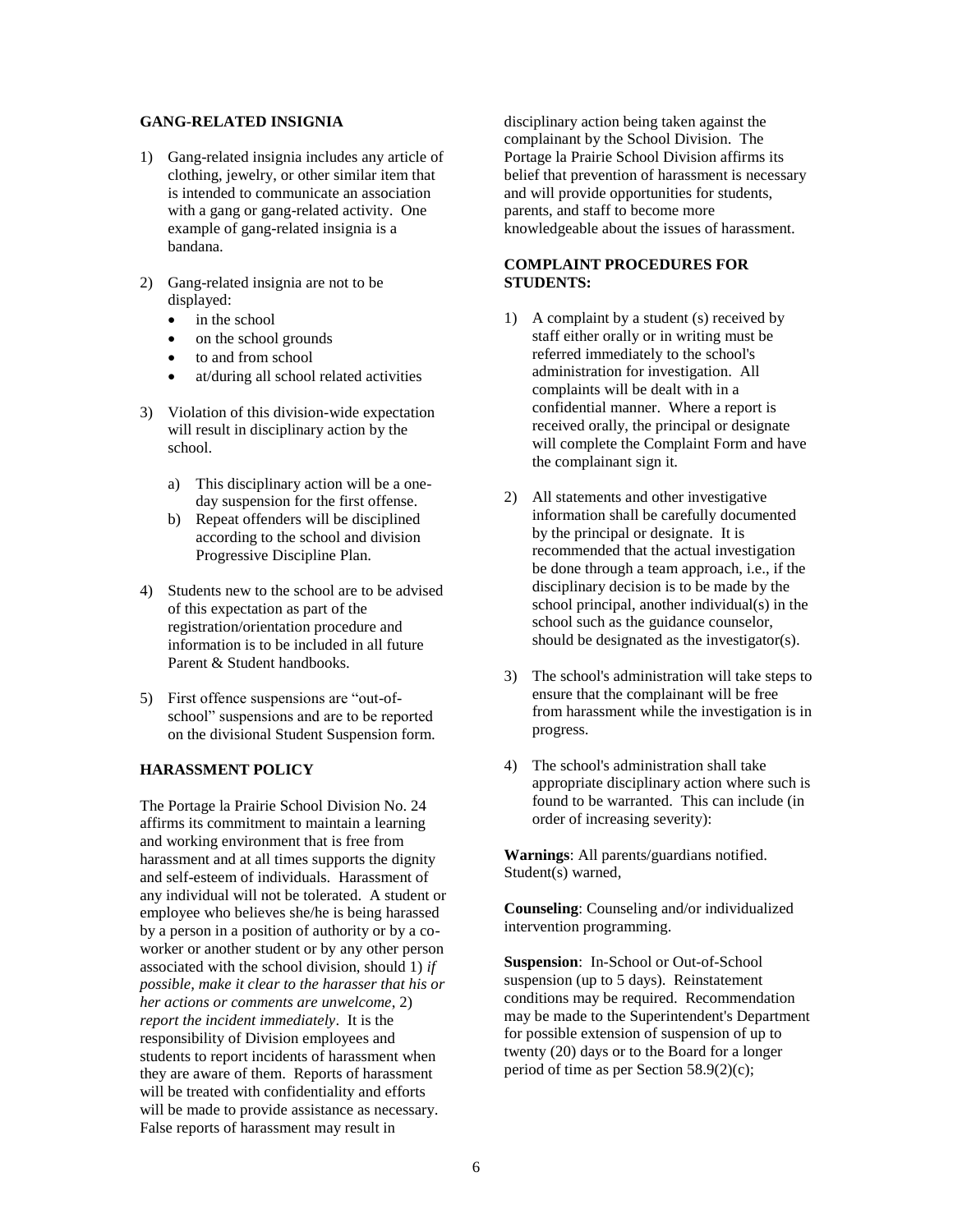#### **GANG-RELATED INSIGNIA**

- 1) Gang-related insignia includes any article of clothing, jewelry, or other similar item that is intended to communicate an association with a gang or gang-related activity. One example of gang-related insignia is a bandana.
- 2) Gang-related insignia are not to be displayed:
	- in the school
	- on the school grounds
	- to and from school
	- at/during all school related activities
- 3) Violation of this division-wide expectation will result in disciplinary action by the school.
	- a) This disciplinary action will be a oneday suspension for the first offense.
	- b) Repeat offenders will be disciplined according to the school and division Progressive Discipline Plan.
- 4) Students new to the school are to be advised of this expectation as part of the registration/orientation procedure and information is to be included in all future Parent & Student handbooks.
- 5) First offence suspensions are "out-ofschool" suspensions and are to be reported on the divisional Student Suspension form.

#### **HARASSMENT POLICY**

The Portage la Prairie School Division No. 24 affirms its commitment to maintain a learning and working environment that is free from harassment and at all times supports the dignity and self-esteem of individuals. Harassment of any individual will not be tolerated. A student or employee who believes she/he is being harassed by a person in a position of authority or by a coworker or another student or by any other person associated with the school division, should 1) *if possible, make it clear to the harasser that his or her actions or comments are unwelcome*, 2) *report the incident immediately*. It is the responsibility of Division employees and students to report incidents of harassment when they are aware of them. Reports of harassment will be treated with confidentiality and efforts will be made to provide assistance as necessary. False reports of harassment may result in

disciplinary action being taken against the complainant by the School Division. The Portage la Prairie School Division affirms its belief that prevention of harassment is necessary and will provide opportunities for students, parents, and staff to become more knowledgeable about the issues of harassment.

#### **COMPLAINT PROCEDURES FOR STUDENTS:**

- 1) A complaint by a student (s) received by staff either orally or in writing must be referred immediately to the school's administration for investigation. All complaints will be dealt with in a confidential manner. Where a report is received orally, the principal or designate will complete the Complaint Form and have the complainant sign it.
- 2) All statements and other investigative information shall be carefully documented by the principal or designate. It is recommended that the actual investigation be done through a team approach, i.e., if the disciplinary decision is to be made by the school principal, another individual(s) in the school such as the guidance counselor, should be designated as the investigator(s).
- 3) The school's administration will take steps to ensure that the complainant will be free from harassment while the investigation is in progress.
- 4) The school's administration shall take appropriate disciplinary action where such is found to be warranted. This can include (in order of increasing severity):

**Warnings**: All parents/guardians notified. Student(s) warned,

**Counseling**: Counseling and/or individualized intervention programming.

**Suspension**: In-School or Out-of-School suspension (up to 5 days). Reinstatement conditions may be required. Recommendation may be made to the Superintendent's Department for possible extension of suspension of up to twenty (20) days or to the Board for a longer period of time as per Section 58.9(2)(c);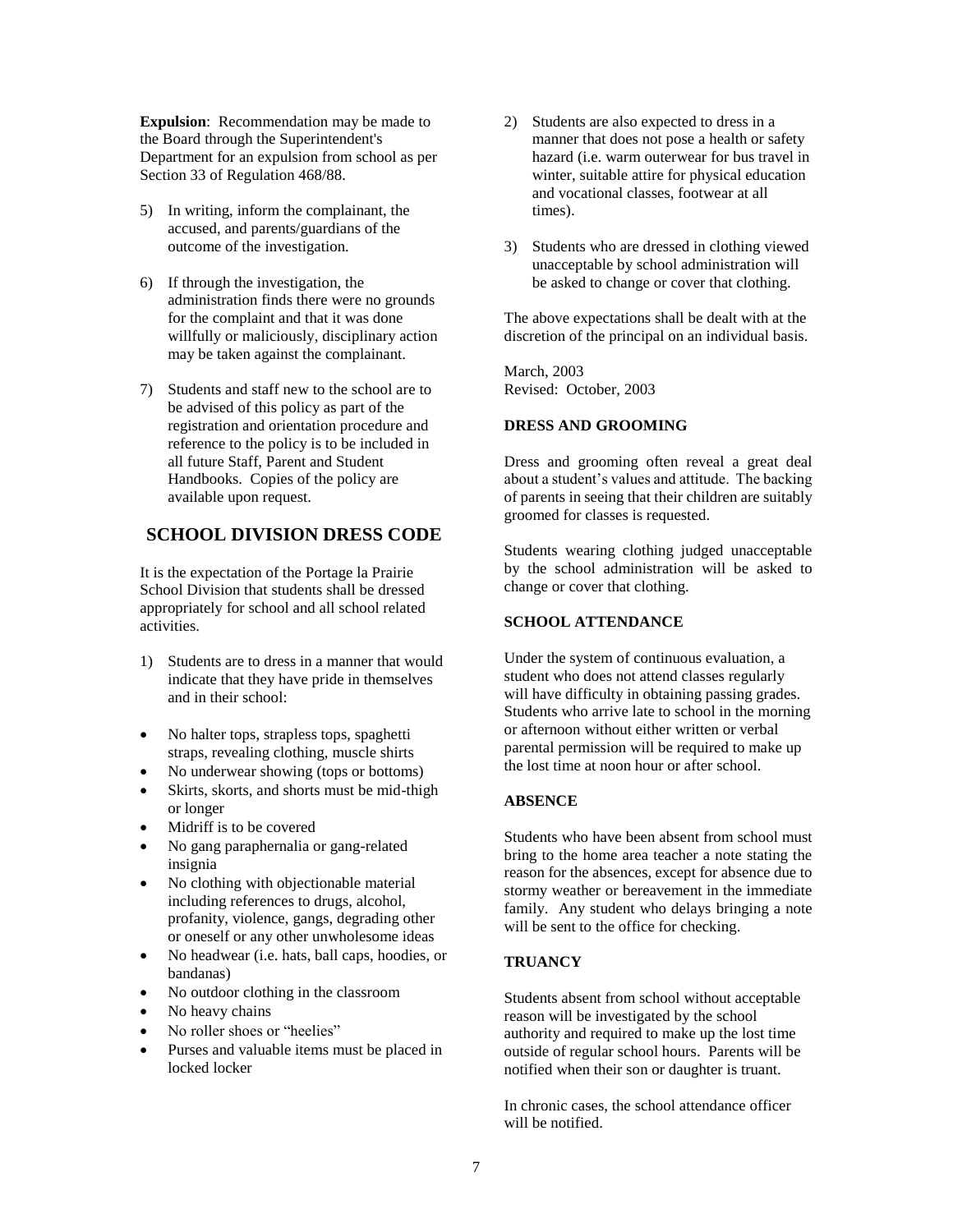**Expulsion**: Recommendation may be made to the Board through the Superintendent's Department for an expulsion from school as per Section 33 of Regulation 468/88.

- 5) In writing, inform the complainant, the accused, and parents/guardians of the outcome of the investigation.
- 6) If through the investigation, the administration finds there were no grounds for the complaint and that it was done willfully or maliciously, disciplinary action may be taken against the complainant.
- 7) Students and staff new to the school are to be advised of this policy as part of the registration and orientation procedure and reference to the policy is to be included in all future Staff, Parent and Student Handbooks. Copies of the policy are available upon request.

## **SCHOOL DIVISION DRESS CODE**

It is the expectation of the Portage la Prairie School Division that students shall be dressed appropriately for school and all school related activities.

- 1) Students are to dress in a manner that would indicate that they have pride in themselves and in their school:
- No halter tops, strapless tops, spaghetti straps, revealing clothing, muscle shirts
- No underwear showing (tops or bottoms)
- Skirts, skorts, and shorts must be mid-thigh or longer
- Midriff is to be covered
- No gang paraphernalia or gang-related insignia
- No clothing with objectionable material including references to drugs, alcohol, profanity, violence, gangs, degrading other or oneself or any other unwholesome ideas
- No headwear (i.e. hats, ball caps, hoodies, or bandanas)
- No outdoor clothing in the classroom
- No heavy chains
- No roller shoes or "heelies"
- Purses and valuable items must be placed in locked locker
- 2) Students are also expected to dress in a manner that does not pose a health or safety hazard (i.e. warm outerwear for bus travel in winter, suitable attire for physical education and vocational classes, footwear at all times).
- 3) Students who are dressed in clothing viewed unacceptable by school administration will be asked to change or cover that clothing.

The above expectations shall be dealt with at the discretion of the principal on an individual basis.

March, 2003 Revised: October, 2003

#### **DRESS AND GROOMING**

Dress and grooming often reveal a great deal about a student's values and attitude. The backing of parents in seeing that their children are suitably groomed for classes is requested.

Students wearing clothing judged unacceptable by the school administration will be asked to change or cover that clothing.

#### **SCHOOL ATTENDANCE**

Under the system of continuous evaluation, a student who does not attend classes regularly will have difficulty in obtaining passing grades. Students who arrive late to school in the morning or afternoon without either written or verbal parental permission will be required to make up the lost time at noon hour or after school.

#### **ABSENCE**

Students who have been absent from school must bring to the home area teacher a note stating the reason for the absences, except for absence due to stormy weather or bereavement in the immediate family. Any student who delays bringing a note will be sent to the office for checking.

### **TRUANCY**

Students absent from school without acceptable reason will be investigated by the school authority and required to make up the lost time outside of regular school hours. Parents will be notified when their son or daughter is truant.

In chronic cases, the school attendance officer will be notified.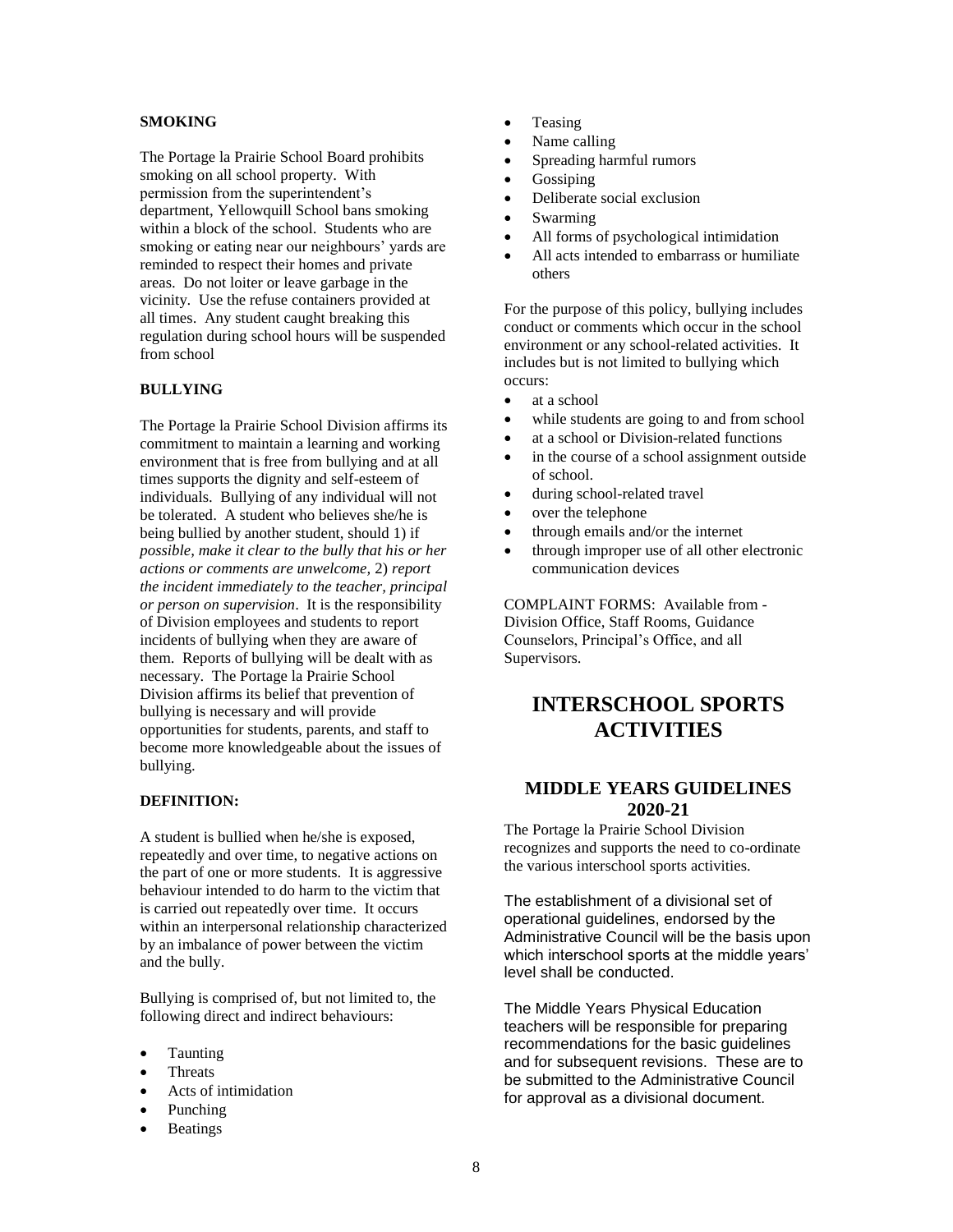#### **SMOKING**

The Portage la Prairie School Board prohibits smoking on all school property. With permission from the superintendent's department, Yellowquill School bans smoking within a block of the school. Students who are smoking or eating near our neighbours' yards are reminded to respect their homes and private areas. Do not loiter or leave garbage in the vicinity. Use the refuse containers provided at all times. Any student caught breaking this regulation during school hours will be suspended from school

#### **BULLYING**

The Portage la Prairie School Division affirms its commitment to maintain a learning and working environment that is free from bullying and at all times supports the dignity and self-esteem of individuals. Bullying of any individual will not be tolerated. A student who believes she/he is being bullied by another student, should 1) if *possible, make it clear to the bully that his or her actions or comments are unwelcome,* 2) *report the incident immediately to the teacher, principal or person on supervision*. It is the responsibility of Division employees and students to report incidents of bullying when they are aware of them. Reports of bullying will be dealt with as necessary. The Portage la Prairie School Division affirms its belief that prevention of bullying is necessary and will provide opportunities for students, parents, and staff to become more knowledgeable about the issues of bullying.

#### **DEFINITION:**

A student is bullied when he/she is exposed, repeatedly and over time, to negative actions on the part of one or more students. It is aggressive behaviour intended to do harm to the victim that is carried out repeatedly over time. It occurs within an interpersonal relationship characterized by an imbalance of power between the victim and the bully.

Bullying is comprised of, but not limited to, the following direct and indirect behaviours:

- Taunting
- **Threats**
- Acts of intimidation
- Punching
- **Beatings**
- Teasing
- Name calling
- Spreading harmful rumors
- **Gossiping**
- Deliberate social exclusion
- Swarming
- All forms of psychological intimidation
- All acts intended to embarrass or humiliate others

For the purpose of this policy, bullying includes conduct or comments which occur in the school environment or any school-related activities. It includes but is not limited to bullying which occurs:

- at a school
- while students are going to and from school
- at a school or Division-related functions
- in the course of a school assignment outside of school.
- during school-related travel
- over the telephone
- through emails and/or the internet
- through improper use of all other electronic communication devices

COMPLAINT FORMS: Available from - Division Office, Staff Rooms, Guidance Counselors, Principal's Office, and all Supervisors.

## **INTERSCHOOL SPORTS ACTIVITIES**

## **MIDDLE YEARS GUIDELINES 2020-21**

The Portage la Prairie School Division recognizes and supports the need to co-ordinate the various interschool sports activities.

The establishment of a divisional set of operational guidelines, endorsed by the Administrative Council will be the basis upon which interschool sports at the middle years' level shall be conducted.

The Middle Years Physical Education teachers will be responsible for preparing recommendations for the basic guidelines and for subsequent revisions. These are to be submitted to the Administrative Council for approval as a divisional document.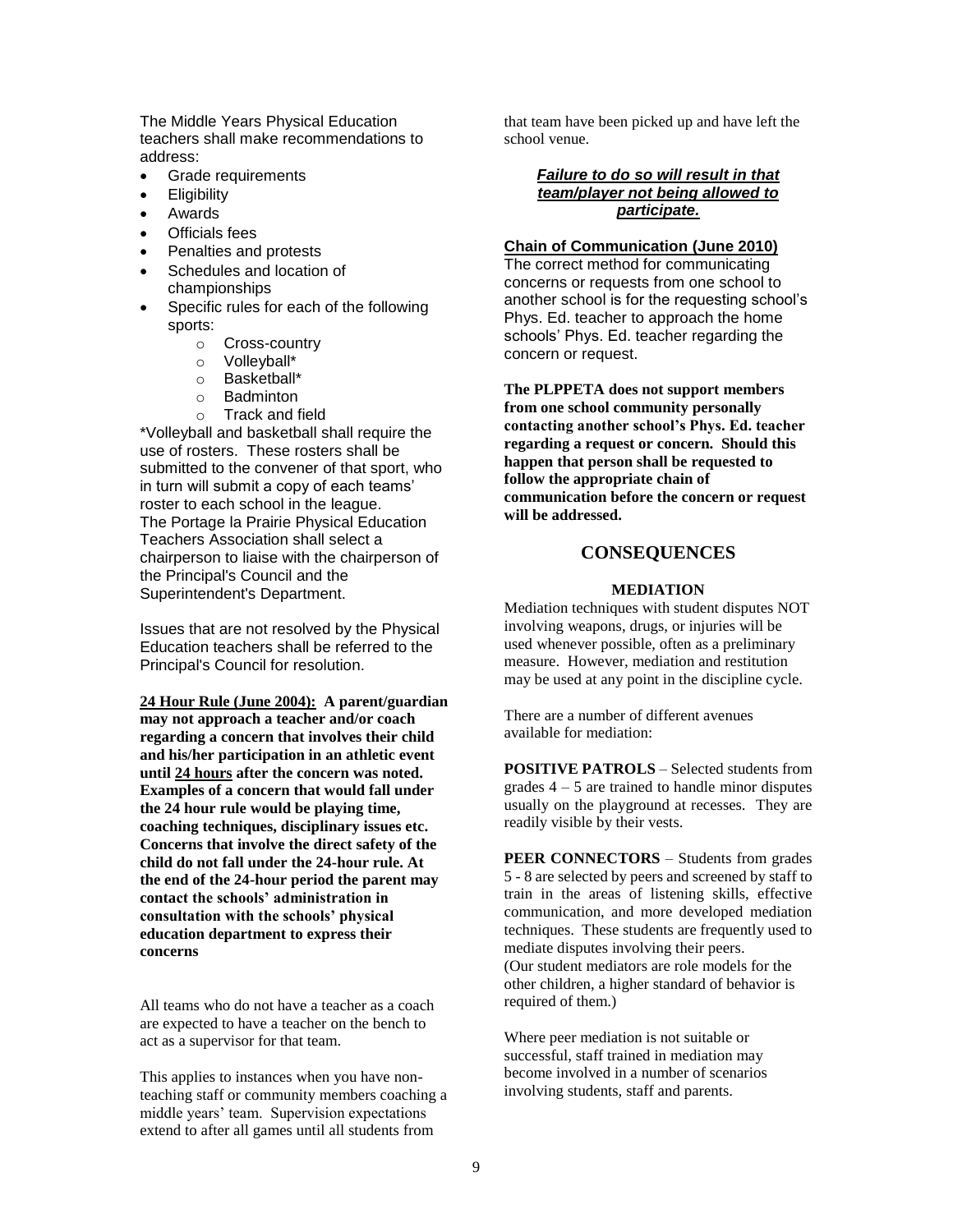The Middle Years Physical Education teachers shall make recommendations to address:

- Grade requirements
- Eligibility
- Awards
- Officials fees
- Penalties and protests
- Schedules and location of championships
- Specific rules for each of the following sports:
	- o Cross-country
	- o Volleyball\*
	- o Basketball\*
	- o Badminton
	- o Track and field

\*Volleyball and basketball shall require the use of rosters. These rosters shall be submitted to the convener of that sport, who in turn will submit a copy of each teams' roster to each school in the league. The Portage la Prairie Physical Education Teachers Association shall select a chairperson to liaise with the chairperson of the Principal's Council and the Superintendent's Department.

Issues that are not resolved by the Physical Education teachers shall be referred to the Principal's Council for resolution.

**24 Hour Rule (June 2004): A parent/guardian may not approach a teacher and/or coach regarding a concern that involves their child and his/her participation in an athletic event until 24 hours after the concern was noted. Examples of a concern that would fall under the 24 hour rule would be playing time, coaching techniques, disciplinary issues etc. Concerns that involve the direct safety of the child do not fall under the 24-hour rule. At the end of the 24-hour period the parent may contact the schools' administration in consultation with the schools' physical education department to express their concerns**

All teams who do not have a teacher as a coach are expected to have a teacher on the bench to act as a supervisor for that team.

This applies to instances when you have nonteaching staff or community members coaching a middle years' team. Supervision expectations extend to after all games until all students from

that team have been picked up and have left the school venue.

## *Failure to do so will result in that team/player not being allowed to participate.*

#### **Chain of Communication (June 2010)**

The correct method for communicating concerns or requests from one school to another school is for the requesting school's Phys. Ed. teacher to approach the home schools' Phys. Ed. teacher regarding the concern or request.

**The PLPPETA does not support members from one school community personally contacting another school's Phys. Ed. teacher regarding a request or concern. Should this happen that person shall be requested to follow the appropriate chain of communication before the concern or request will be addressed.**

## **CONSEQUENCES**

#### **MEDIATION**

Mediation techniques with student disputes NOT involving weapons, drugs, or injuries will be used whenever possible, often as a preliminary measure. However, mediation and restitution may be used at any point in the discipline cycle.

There are a number of different avenues available for mediation:

**POSITIVE PATROLS** – Selected students from grades  $4 - 5$  are trained to handle minor disputes usually on the playground at recesses. They are readily visible by their vests.

**PEER CONNECTORS** – Students from grades 5 - 8 are selected by peers and screened by staff to train in the areas of listening skills, effective communication, and more developed mediation techniques. These students are frequently used to mediate disputes involving their peers. (Our student mediators are role models for the other children, a higher standard of behavior is required of them.)

Where peer mediation is not suitable or successful, staff trained in mediation may become involved in a number of scenarios involving students, staff and parents.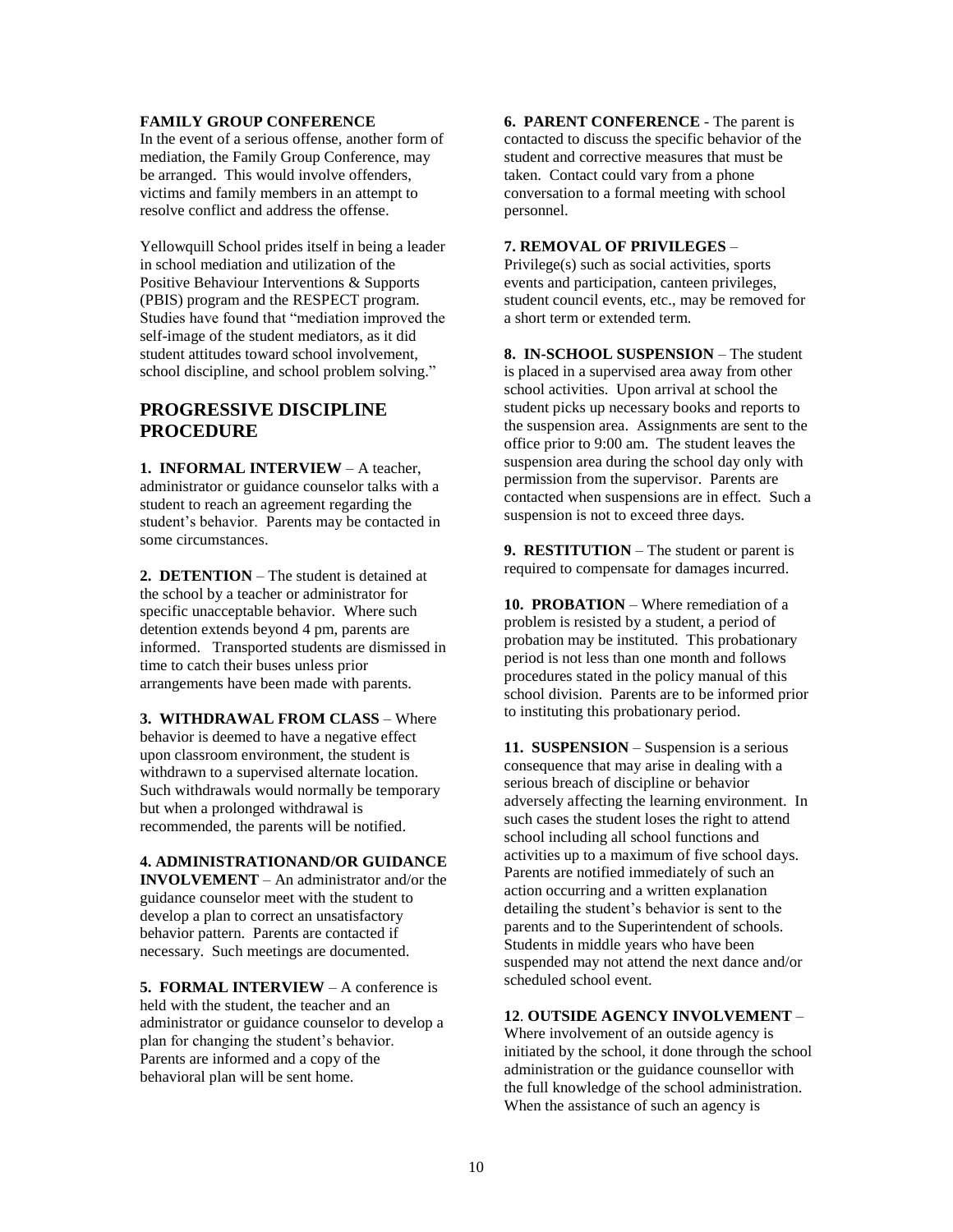### **FAMILY GROUP CONFERENCE**

In the event of a serious offense, another form of mediation, the Family Group Conference, may be arranged. This would involve offenders, victims and family members in an attempt to resolve conflict and address the offense.

Yellowquill School prides itself in being a leader in school mediation and utilization of the Positive Behaviour Interventions & Supports (PBIS) program and the RESPECT program. Studies have found that "mediation improved the self-image of the student mediators, as it did student attitudes toward school involvement, school discipline, and school problem solving."

## **PROGRESSIVE DISCIPLINE PROCEDURE**

**1. INFORMAL INTERVIEW** – A teacher, administrator or guidance counselor talks with a student to reach an agreement regarding the student's behavior. Parents may be contacted in some circumstances.

**2. DETENTION** – The student is detained at the school by a teacher or administrator for specific unacceptable behavior. Where such detention extends beyond 4 pm, parents are informed. Transported students are dismissed in time to catch their buses unless prior arrangements have been made with parents.

**3. WITHDRAWAL FROM CLASS** – Where behavior is deemed to have a negative effect upon classroom environment, the student is withdrawn to a supervised alternate location. Such withdrawals would normally be temporary but when a prolonged withdrawal is recommended, the parents will be notified.

#### **4. ADMINISTRATIONAND/OR GUIDANCE**

**INVOLVEMENT** – An administrator and/or the guidance counselor meet with the student to develop a plan to correct an unsatisfactory behavior pattern. Parents are contacted if necessary. Such meetings are documented.

**5. FORMAL INTERVIEW** – A conference is held with the student, the teacher and an administrator or guidance counselor to develop a plan for changing the student's behavior. Parents are informed and a copy of the behavioral plan will be sent home.

**6. PARENT CONFERENCE** - The parent is contacted to discuss the specific behavior of the student and corrective measures that must be taken. Contact could vary from a phone conversation to a formal meeting with school personnel.

#### **7. REMOVAL OF PRIVILEGES** –

Privilege(s) such as social activities, sports events and participation, canteen privileges, student council events, etc., may be removed for a short term or extended term.

**8. IN-SCHOOL SUSPENSION** – The student is placed in a supervised area away from other school activities. Upon arrival at school the student picks up necessary books and reports to the suspension area. Assignments are sent to the office prior to 9:00 am. The student leaves the suspension area during the school day only with permission from the supervisor. Parents are contacted when suspensions are in effect. Such a suspension is not to exceed three days.

**9. RESTITUTION** – The student or parent is required to compensate for damages incurred.

**10. PROBATION** – Where remediation of a problem is resisted by a student, a period of probation may be instituted. This probationary period is not less than one month and follows procedures stated in the policy manual of this school division. Parents are to be informed prior to instituting this probationary period.

**11. SUSPENSION** – Suspension is a serious consequence that may arise in dealing with a serious breach of discipline or behavior adversely affecting the learning environment. In such cases the student loses the right to attend school including all school functions and activities up to a maximum of five school days. Parents are notified immediately of such an action occurring and a written explanation detailing the student's behavior is sent to the parents and to the Superintendent of schools. Students in middle years who have been suspended may not attend the next dance and/or scheduled school event.

#### **12**. **OUTSIDE AGENCY INVOLVEMENT** –

Where involvement of an outside agency is initiated by the school, it done through the school administration or the guidance counsellor with the full knowledge of the school administration. When the assistance of such an agency is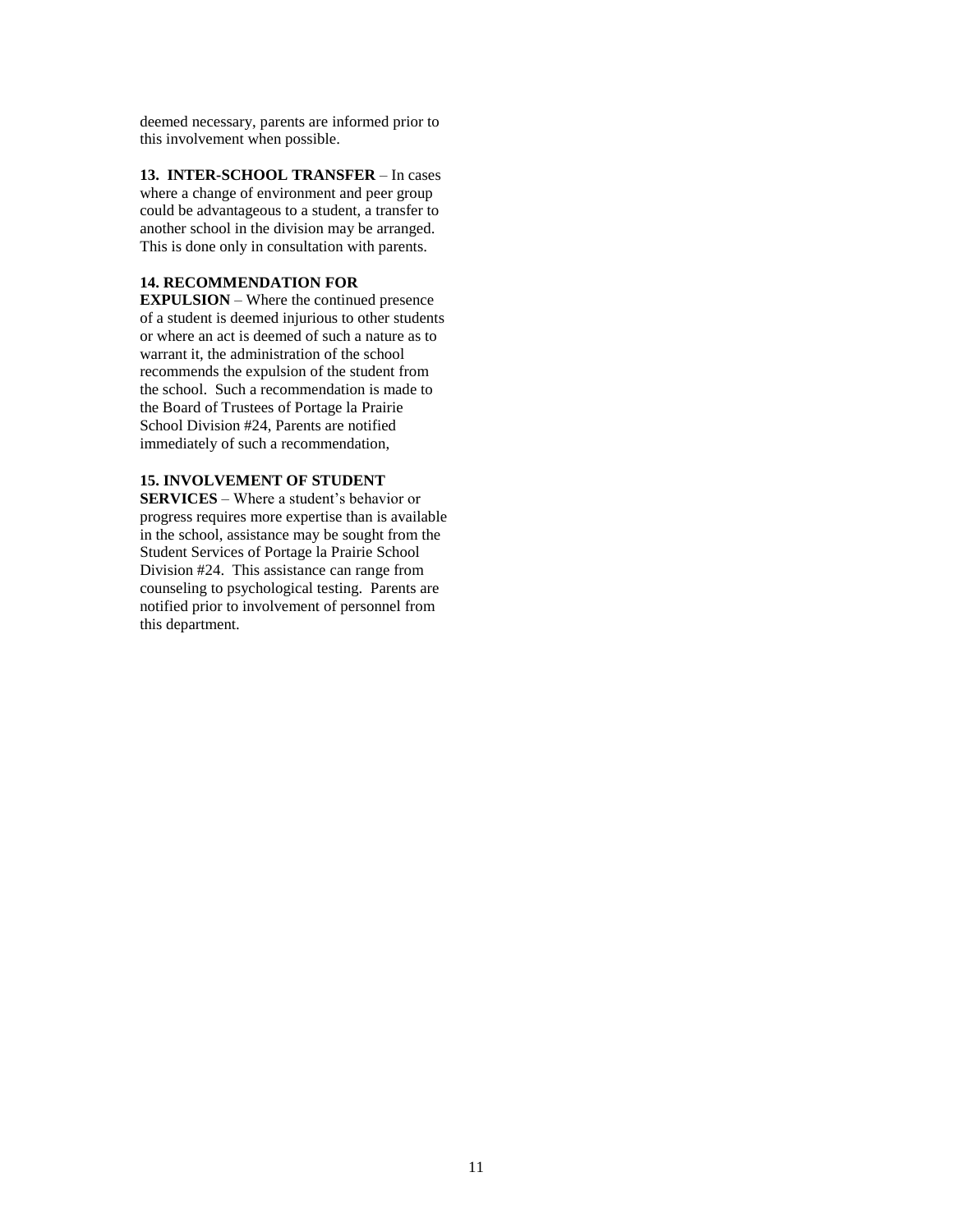deemed necessary, parents are informed prior to this involvement when possible.

**13. INTER-SCHOOL TRANSFER** – In cases where a change of environment and peer group could be advantageous to a student, a transfer to another school in the division may be arranged. This is done only in consultation with parents.

## **14. RECOMMENDATION FOR**

**EXPULSION** – Where the continued presence of a student is deemed injurious to other students or where an act is deemed of such a nature as to warrant it, the administration of the school recommends the expulsion of the student from the school. Such a recommendation is made to the Board of Trustees of Portage la Prairie School Division #24, Parents are notified immediately of such a recommendation,

## **15. INVOLVEMENT OF STUDENT**

**SERVICES** – Where a student's behavior or progress requires more expertise than is available in the school, assistance may be sought from the Student Services of Portage la Prairie School Division #24. This assistance can range from counseling to psychological testing. Parents are notified prior to involvement of personnel from this department.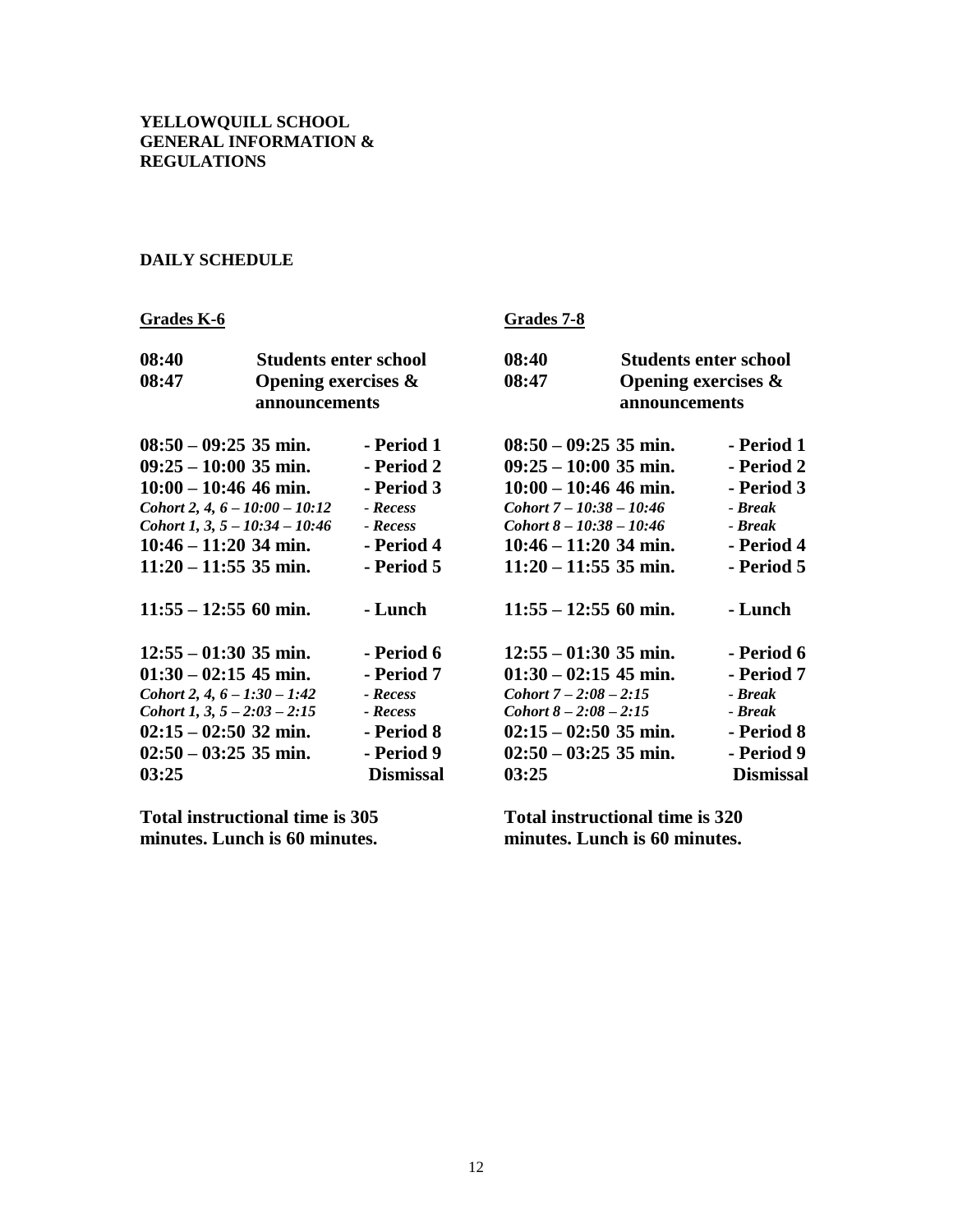## **DAILY SCHEDULE**

| <b>Grades K-6</b>                                                                                                                                                                                           |                                                                         |                                                                                                  | Grades 7-8                                                                                                                                                                                      |                                                                         |                                                                                                |
|-------------------------------------------------------------------------------------------------------------------------------------------------------------------------------------------------------------|-------------------------------------------------------------------------|--------------------------------------------------------------------------------------------------|-------------------------------------------------------------------------------------------------------------------------------------------------------------------------------------------------|-------------------------------------------------------------------------|------------------------------------------------------------------------------------------------|
| 08:40<br>08:47                                                                                                                                                                                              | <b>Students enter school</b><br>Opening exercises $\&$<br>announcements |                                                                                                  | 08:40<br>08:47                                                                                                                                                                                  | <b>Students enter school</b><br>Opening exercises $\&$<br>announcements |                                                                                                |
| $08:50 - 09:25$ 35 min.<br>$09:25 - 10:00$ 35 min.<br>$10:00 - 10:46$ 46 min.<br>Cohort 2, 4, $6 - 10:00 - 10:12$<br>Cohort 1, 3, $5 - 10:34 - 10:46$<br>$10:46 - 11:20$ 34 min.<br>$11:20 - 11:55$ 35 min. |                                                                         | - Period 1<br>- Period 2<br>- Period 3<br>- Recess<br>- Recess<br>- Period 4<br>- Period 5       | $08:50 - 09:25$ 35 min.<br>$09:25 - 10:00$ 35 min.<br>$10:00 - 10:46$ 46 min.<br>$Cohort 7 - 10:38 - 10:46$<br>Cohort $8 - 10:38 - 10:46$<br>$10:46 - 11:20$ 34 min.<br>$11:20 - 11:55$ 35 min. |                                                                         | - Period 1<br>- Period 2<br>- Period 3<br>- Break<br>- Break<br>- Period 4<br>- Period 5       |
| $11:55 - 12:55$ 60 min.                                                                                                                                                                                     |                                                                         | - Lunch                                                                                          | $11:55 - 12:55$ 60 min.                                                                                                                                                                         |                                                                         | - Lunch                                                                                        |
| $12:55 - 01:30$ 35 min.<br>$01:30 - 02:15$ 45 min.<br>Cohort 2, 4, $6 - 1:30 - 1:42$<br>Cohort 1, 3, $5 - 2:03 - 2:15$<br>$02:15 - 02:50$ 32 min.<br>$02:50 - 03:25$ 35 min.<br>03:25                       |                                                                         | - Period 6<br>- Period 7<br>- Recess<br>- Recess<br>- Period 8<br>- Period 9<br><b>Dismissal</b> | $12:55 - 01:30$ 35 min.<br>$01:30 - 02:15$ 45 min.<br>Cohort $7 - 2:08 - 2:15$<br>Cohort $8 - 2:08 - 2:15$<br>$02:15 - 02:50$ 35 min.<br>$02:50 - 03:25$ 35 min.<br>03:25                       |                                                                         | - Period 6<br>- Period 7<br>- Break<br>- Break<br>- Period 8<br>- Period 9<br><b>Dismissal</b> |

**Total instructional time is 305 minutes. Lunch is 60 minutes.**

**Total instructional time is 320 minutes. Lunch is 60 minutes.**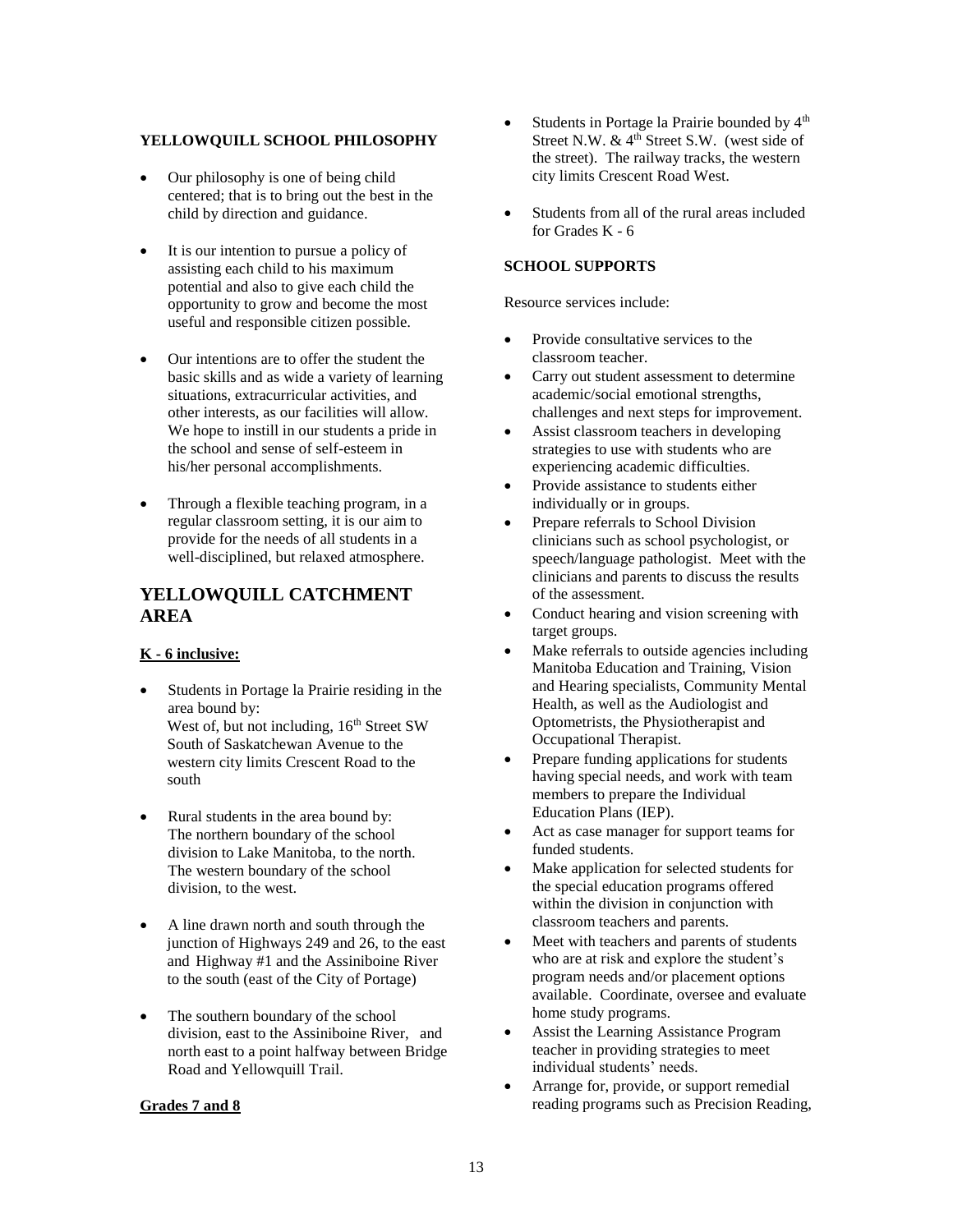### **YELLOWQUILL SCHOOL PHILOSOPHY**

- Our philosophy is one of being child centered; that is to bring out the best in the child by direction and guidance.
- It is our intention to pursue a policy of assisting each child to his maximum potential and also to give each child the opportunity to grow and become the most useful and responsible citizen possible.
- Our intentions are to offer the student the basic skills and as wide a variety of learning situations, extracurricular activities, and other interests, as our facilities will allow. We hope to instill in our students a pride in the school and sense of self-esteem in his/her personal accomplishments.
- Through a flexible teaching program, in a regular classroom setting, it is our aim to provide for the needs of all students in a well-disciplined, but relaxed atmosphere.

## **YELLOWQUILL CATCHMENT AREA**

## **K - 6 inclusive:**

- Students in Portage la Prairie residing in the area bound by: West of, but not including,  $16<sup>th</sup>$  Street SW South of Saskatchewan Avenue to the western city limits Crescent Road to the south
- Rural students in the area bound by: The northern boundary of the school division to Lake Manitoba, to the north. The western boundary of the school division, to the west.
- A line drawn north and south through the junction of Highways 249 and 26, to the east and Highway #1 and the Assiniboine River to the south (east of the City of Portage)
- The southern boundary of the school division, east to the Assiniboine River, and north east to a point halfway between Bridge Road and Yellowquill Trail.

#### **Grades 7 and 8**

- Students in Portage la Prairie bounded by  $4<sup>th</sup>$ Street N.W.  $& 4<sup>th</sup>$  Street S.W. (west side of the street). The railway tracks, the western city limits Crescent Road West.
- Students from all of the rural areas included for Grades K - 6

#### **SCHOOL SUPPORTS**

Resource services include:

- Provide consultative services to the classroom teacher.
- Carry out student assessment to determine academic/social emotional strengths, challenges and next steps for improvement.
- Assist classroom teachers in developing strategies to use with students who are experiencing academic difficulties.
- Provide assistance to students either individually or in groups.
- Prepare referrals to School Division clinicians such as school psychologist, or speech/language pathologist. Meet with the clinicians and parents to discuss the results of the assessment.
- Conduct hearing and vision screening with target groups.
- Make referrals to outside agencies including Manitoba Education and Training, Vision and Hearing specialists, Community Mental Health, as well as the Audiologist and Optometrists, the Physiotherapist and Occupational Therapist.
- Prepare funding applications for students having special needs, and work with team members to prepare the Individual Education Plans (IEP).
- Act as case manager for support teams for funded students.
- Make application for selected students for the special education programs offered within the division in conjunction with classroom teachers and parents.
- Meet with teachers and parents of students who are at risk and explore the student's program needs and/or placement options available. Coordinate, oversee and evaluate home study programs.
- Assist the Learning Assistance Program teacher in providing strategies to meet individual students' needs.
- Arrange for, provide, or support remedial reading programs such as Precision Reading,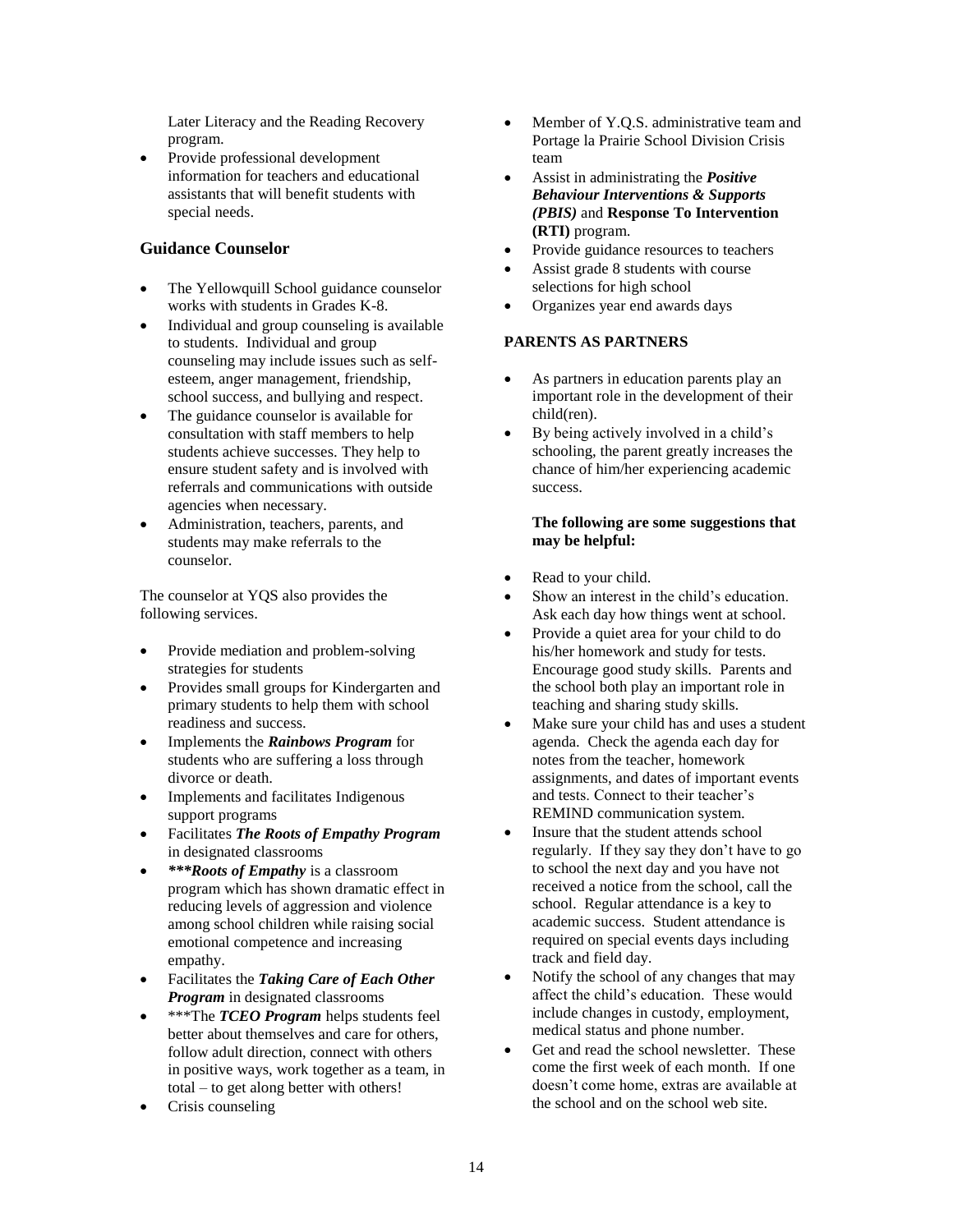Later Literacy and the Reading Recovery program.

• Provide professional development information for teachers and educational assistants that will benefit students with special needs.

## **Guidance Counselor**

- The Yellowquill School guidance counselor works with students in Grades K-8.
- Individual and group counseling is available to students. Individual and group counseling may include issues such as selfesteem, anger management, friendship, school success, and bullying and respect.
- The guidance counselor is available for consultation with staff members to help students achieve successes. They help to ensure student safety and is involved with referrals and communications with outside agencies when necessary.
- Administration, teachers, parents, and students may make referrals to the counselor.

The counselor at YQS also provides the following services.

- Provide mediation and problem-solving strategies for students
- Provides small groups for Kindergarten and primary students to help them with school readiness and success.
- Implements the *Rainbows Program* for students who are suffering a loss through divorce or death.
- Implements and facilitates Indigenous support programs
- Facilitates *The Roots of Empathy Program* in designated classrooms
- *\*\*\*Roots of Empathy* is a classroom program which has shown dramatic effect in reducing levels of aggression and violence among school children while raising social emotional competence and increasing empathy.
- Facilitates the *Taking Care of Each Other Program* in designated classrooms
- \*\*\*The *TCEO Program* helps students feel better about themselves and care for others, follow adult direction, connect with others in positive ways, work together as a team, in total – to get along better with others!
- Crisis counseling
- Member of Y.O.S. administrative team and Portage la Prairie School Division Crisis team
- Assist in administrating the *Positive Behaviour Interventions & Supports (PBIS)* and **Response To Intervention (RTI)** program.
- Provide guidance resources to teachers
- Assist grade 8 students with course selections for high school
- Organizes year end awards days

## **PARENTS AS PARTNERS**

- As partners in education parents play an important role in the development of their child(ren).
- By being actively involved in a child's schooling, the parent greatly increases the chance of him/her experiencing academic success.

#### **The following are some suggestions that may be helpful:**

- Read to your child.
- Show an interest in the child's education. Ask each day how things went at school.
- Provide a quiet area for your child to do his/her homework and study for tests. Encourage good study skills. Parents and the school both play an important role in teaching and sharing study skills.
- Make sure your child has and uses a student agenda. Check the agenda each day for notes from the teacher, homework assignments, and dates of important events and tests. Connect to their teacher's REMIND communication system.
- Insure that the student attends school regularly. If they say they don't have to go to school the next day and you have not received a notice from the school, call the school. Regular attendance is a key to academic success. Student attendance is required on special events days including track and field day.
- Notify the school of any changes that may affect the child's education. These would include changes in custody, employment, medical status and phone number.
- Get and read the school newsletter. These come the first week of each month. If one doesn't come home, extras are available at the school and on the school web site.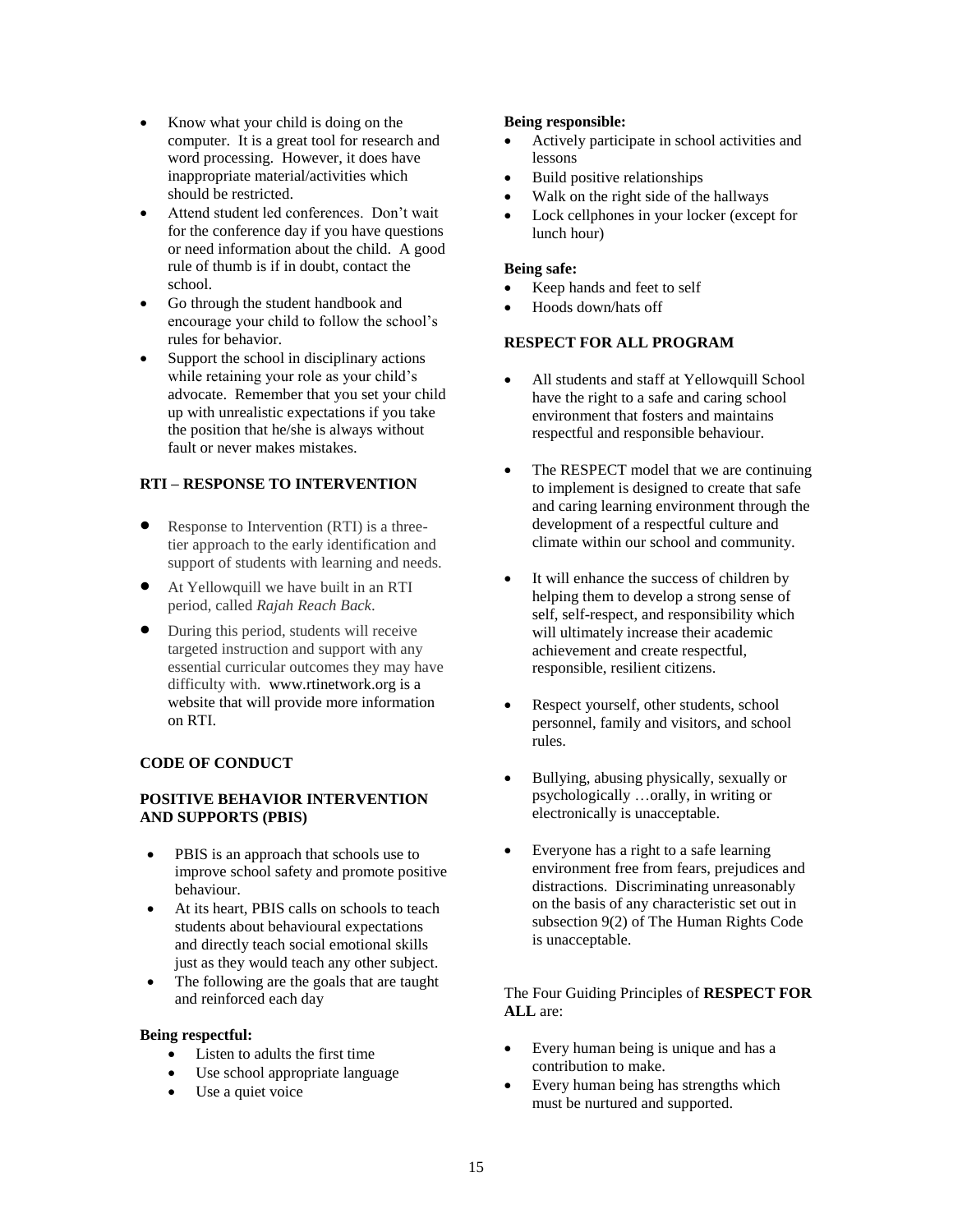- Know what your child is doing on the computer. It is a great tool for research and word processing. However, it does have inappropriate material/activities which should be restricted.
- Attend student led conferences. Don't wait for the conference day if you have questions or need information about the child. A good rule of thumb is if in doubt, contact the school.
- Go through the student handbook and encourage your child to follow the school's rules for behavior.
- Support the school in disciplinary actions while retaining your role as your child's advocate. Remember that you set your child up with unrealistic expectations if you take the position that he/she is always without fault or never makes mistakes.

## **RTI – RESPONSE TO INTERVENTION**

- Response to Intervention (RTI) is a threetier approach to the early identification and support of students with learning and needs.
- At Yellowquill we have built in an RTI period, called *Rajah Reach Back*.
- During this period, students will receive targeted instruction and support with any essential curricular outcomes they may have difficulty with. www.rtinetwork.org is a website that will provide more information on RTI.

#### **CODE OF CONDUCT**

#### **POSITIVE BEHAVIOR INTERVENTION AND SUPPORTS (PBIS)**

- PBIS is an approach that schools use to improve school safety and promote positive behaviour.
- At its heart, PBIS calls on schools to teach students about behavioural expectations and directly teach social emotional skills just as they would teach any other subject.
- The following are the goals that are taught and reinforced each day

#### **Being respectful:**

- Listen to adults the first time
- Use school appropriate language
- Use a quiet voice

#### **Being responsible:**

- Actively participate in school activities and lessons
- Build positive relationships
- Walk on the right side of the hallways
- Lock cellphones in your locker (except for lunch hour)

#### **Being safe:**

- Keep hands and feet to self
- Hoods down/hats off

#### **RESPECT FOR ALL PROGRAM**

- All students and staff at Yellowquill School have the right to a safe and caring school environment that fosters and maintains respectful and responsible behaviour.
- The RESPECT model that we are continuing to implement is designed to create that safe and caring learning environment through the development of a respectful culture and climate within our school and community.
- It will enhance the success of children by helping them to develop a strong sense of self, self-respect, and responsibility which will ultimately increase their academic achievement and create respectful, responsible, resilient citizens.
- Respect yourself, other students, school personnel, family and visitors, and school rules.
- Bullying, abusing physically, sexually or psychologically …orally, in writing or electronically is unacceptable.
- Everyone has a right to a safe learning environment free from fears, prejudices and distractions. Discriminating unreasonably on the basis of any characteristic set out in subsection 9(2) of The Human Rights Code is unacceptable.

The Four Guiding Principles of **RESPECT FOR ALL** are:

- Every human being is unique and has a contribution to make.
- Every human being has strengths which must be nurtured and supported.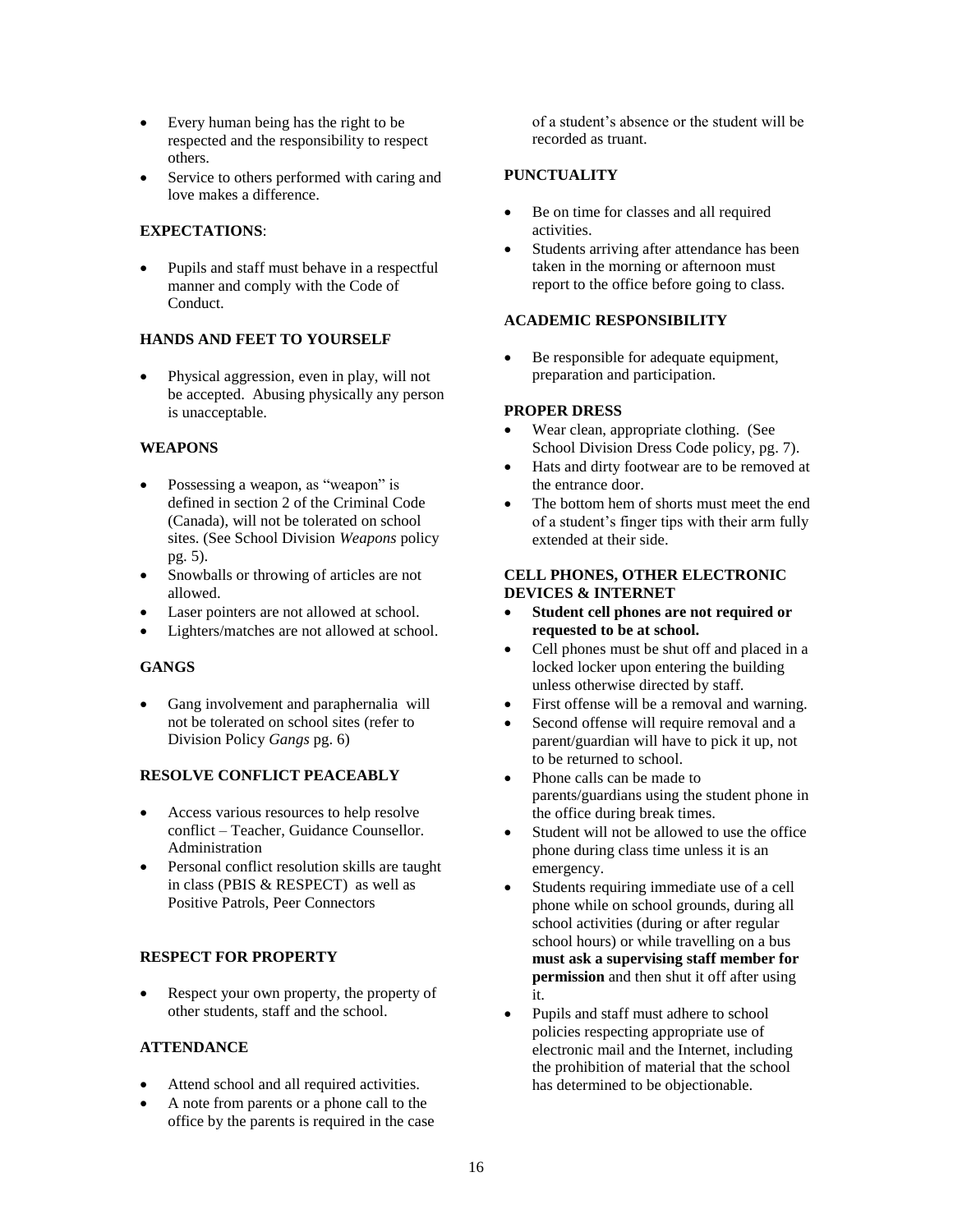- Every human being has the right to be respected and the responsibility to respect others.
- Service to others performed with caring and love makes a difference.

### **EXPECTATIONS**:

• Pupils and staff must behave in a respectful manner and comply with the Code of Conduct.

## **HANDS AND FEET TO YOURSELF**

• Physical aggression, even in play, will not be accepted. Abusing physically any person is unacceptable.

## **WEAPONS**

- Possessing a weapon, as "weapon" is defined in section 2 of the Criminal Code (Canada), will not be tolerated on school sites. (See School Division *Weapons* policy pg. 5).
- Snowballs or throwing of articles are not allowed.
- Laser pointers are not allowed at school.
- Lighters/matches are not allowed at school.

## **GANGS**

Gang involvement and paraphernalia will not be tolerated on school sites (refer to Division Policy *Gangs* pg. 6)

#### **RESOLVE CONFLICT PEACEABLY**

- Access various resources to help resolve conflict – Teacher, Guidance Counsellor. Administration
- Personal conflict resolution skills are taught in class (PBIS & RESPECT) as well as Positive Patrols, Peer Connectors

#### **RESPECT FOR PROPERTY**

Respect your own property, the property of other students, staff and the school.

#### **ATTENDANCE**

- Attend school and all required activities.
- A note from parents or a phone call to the office by the parents is required in the case

of a student's absence or the student will be recorded as truant.

## **PUNCTUALITY**

- Be on time for classes and all required activities.
- Students arriving after attendance has been taken in the morning or afternoon must report to the office before going to class.

## **ACADEMIC RESPONSIBILITY**

Be responsible for adequate equipment, preparation and participation.

## **PROPER DRESS**

- Wear clean, appropriate clothing. (See School Division Dress Code policy, pg. 7).
- Hats and dirty footwear are to be removed at the entrance door.
- The bottom hem of shorts must meet the end of a student's finger tips with their arm fully extended at their side.

#### **CELL PHONES, OTHER ELECTRONIC DEVICES & INTERNET**

- **Student cell phones are not required or requested to be at school.**
- Cell phones must be shut off and placed in a locked locker upon entering the building unless otherwise directed by staff.
- First offense will be a removal and warning.
- Second offense will require removal and a parent/guardian will have to pick it up, not to be returned to school.
- Phone calls can be made to parents/guardians using the student phone in the office during break times.
- Student will not be allowed to use the office phone during class time unless it is an emergency.
- Students requiring immediate use of a cell phone while on school grounds, during all school activities (during or after regular school hours) or while travelling on a bus **must ask a supervising staff member for permission** and then shut it off after using it.
- Pupils and staff must adhere to school policies respecting appropriate use of electronic mail and the Internet, including the prohibition of material that the school has determined to be objectionable.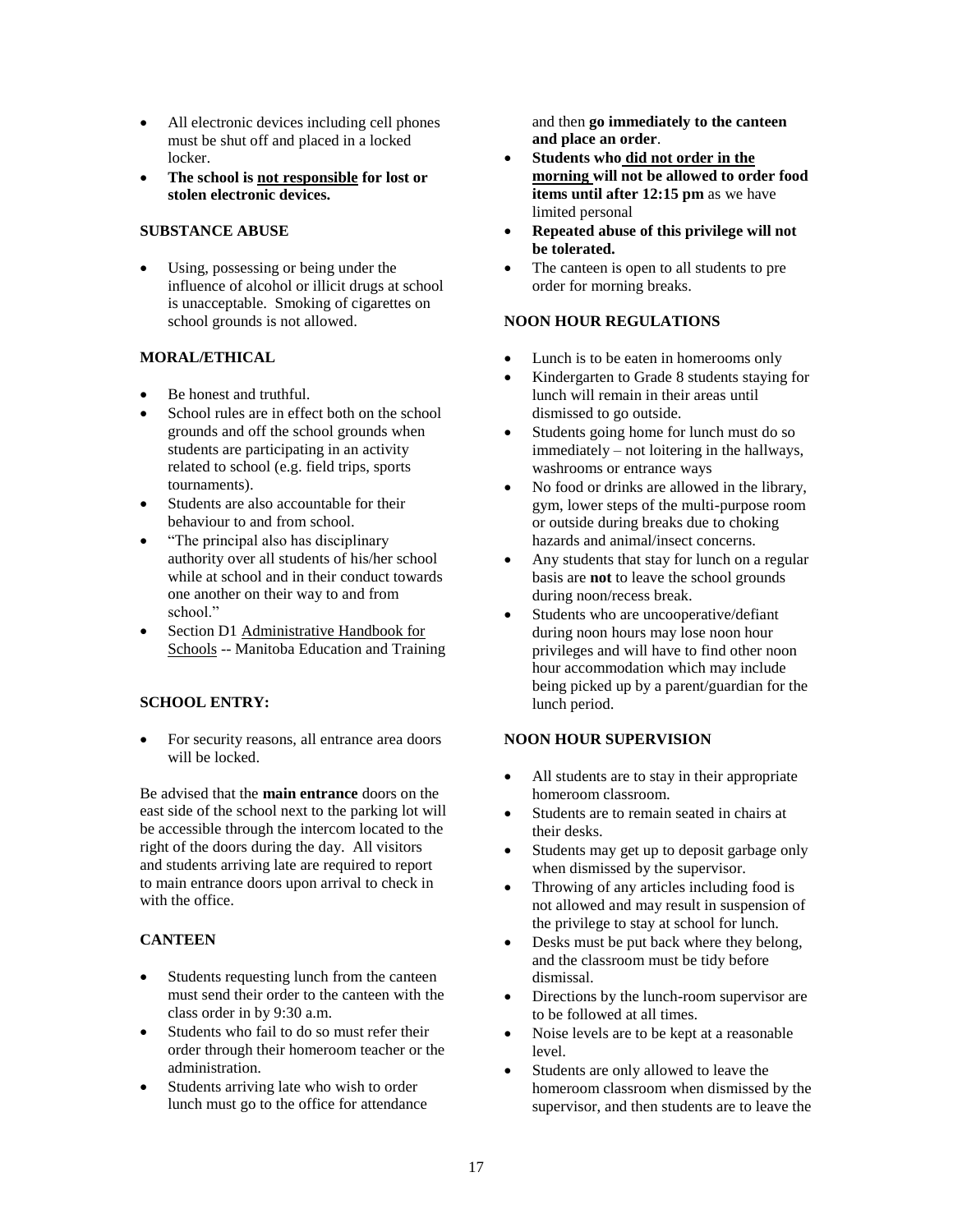- All electronic devices including cell phones must be shut off and placed in a locked locker.
- **The school is not responsible for lost or stolen electronic devices.**

### **SUBSTANCE ABUSE**

Using, possessing or being under the influence of alcohol or illicit drugs at school is unacceptable. Smoking of cigarettes on school grounds is not allowed.

## **MORAL/ETHICAL**

- Be honest and truthful.
- School rules are in effect both on the school grounds and off the school grounds when students are participating in an activity related to school (e.g. field trips, sports tournaments).
- Students are also accountable for their behaviour to and from school.
- "The principal also has disciplinary authority over all students of his/her school while at school and in their conduct towards one another on their way to and from school."
- Section D1 Administrative Handbook for Schools -- Manitoba Education and Training

## **SCHOOL ENTRY:**

• For security reasons, all entrance area doors will be locked.

Be advised that the **main entrance** doors on the east side of the school next to the parking lot will be accessible through the intercom located to the right of the doors during the day. All visitors and students arriving late are required to report to main entrance doors upon arrival to check in with the office.

## **CANTEEN**

- Students requesting lunch from the canteen must send their order to the canteen with the class order in by 9:30 a.m.
- Students who fail to do so must refer their order through their homeroom teacher or the administration.
- Students arriving late who wish to order lunch must go to the office for attendance

and then **go immediately to the canteen and place an order**.

- **Students who did not order in the morning will not be allowed to order food items until after 12:15 pm** as we have limited personal
- **Repeated abuse of this privilege will not be tolerated.**
- The canteen is open to all students to pre order for morning breaks.

## **NOON HOUR REGULATIONS**

- Lunch is to be eaten in homerooms only
- Kindergarten to Grade 8 students staying for lunch will remain in their areas until dismissed to go outside.
- Students going home for lunch must do so immediately – not loitering in the hallways, washrooms or entrance ways
- No food or drinks are allowed in the library, gym, lower steps of the multi-purpose room or outside during breaks due to choking hazards and animal/insect concerns.
- Any students that stay for lunch on a regular basis are **not** to leave the school grounds during noon/recess break.
- Students who are uncooperative/defiant during noon hours may lose noon hour privileges and will have to find other noon hour accommodation which may include being picked up by a parent/guardian for the lunch period.

## **NOON HOUR SUPERVISION**

- All students are to stay in their appropriate homeroom classroom.
- Students are to remain seated in chairs at their desks.
- Students may get up to deposit garbage only when dismissed by the supervisor.
- Throwing of any articles including food is not allowed and may result in suspension of the privilege to stay at school for lunch.
- Desks must be put back where they belong, and the classroom must be tidy before dismissal.
- Directions by the lunch-room supervisor are to be followed at all times.
- Noise levels are to be kept at a reasonable level.
- Students are only allowed to leave the homeroom classroom when dismissed by the supervisor, and then students are to leave the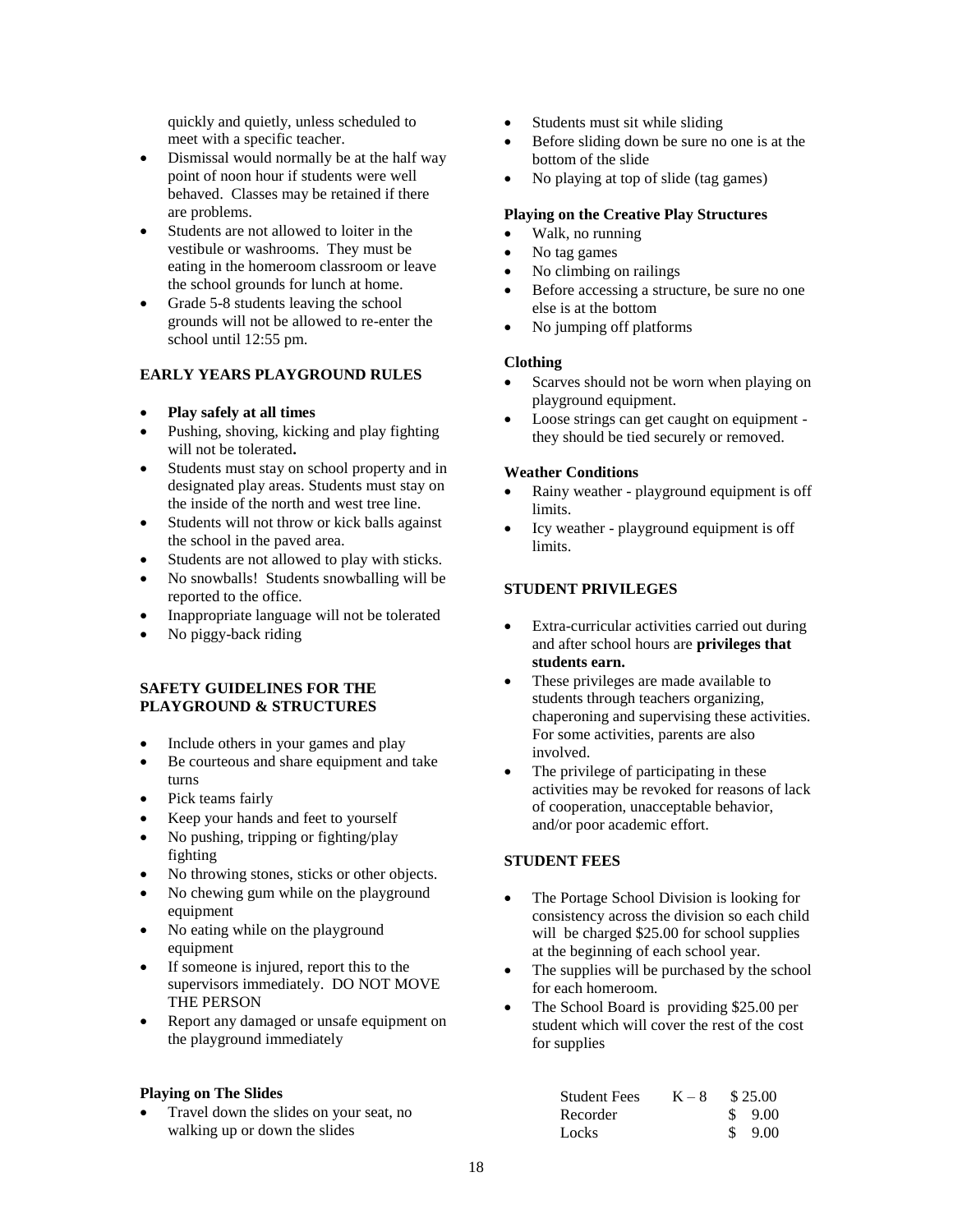quickly and quietly, unless scheduled to meet with a specific teacher.

- Dismissal would normally be at the half way point of noon hour if students were well behaved. Classes may be retained if there are problems.
- Students are not allowed to loiter in the vestibule or washrooms. They must be eating in the homeroom classroom or leave the school grounds for lunch at home.
- Grade 5-8 students leaving the school grounds will not be allowed to re-enter the school until 12:55 pm.

## **EARLY YEARS PLAYGROUND RULES**

- **Play safely at all times**
- Pushing, shoving, kicking and play fighting will not be tolerated**.**
- Students must stay on school property and in designated play areas. Students must stay on the inside of the north and west tree line.
- Students will not throw or kick balls against the school in the paved area.
- Students are not allowed to play with sticks.
- No snowballs! Students snowballing will be reported to the office.
- Inappropriate language will not be tolerated
- No piggy-back riding

## **SAFETY GUIDELINES FOR THE PLAYGROUND & STRUCTURES**

- Include others in your games and play
- Be courteous and share equipment and take turns
- Pick teams fairly
- Keep your hands and feet to yourself
- No pushing, tripping or fighting/play fighting
- No throwing stones, sticks or other objects.
- No chewing gum while on the playground equipment
- No eating while on the playground equipment
- If someone is injured, report this to the supervisors immediately. DO NOT MOVE THE PERSON
- Report any damaged or unsafe equipment on the playground immediately

## **Playing on The Slides**

• Travel down the slides on your seat, no walking up or down the slides

- Students must sit while sliding
- Before sliding down be sure no one is at the bottom of the slide
- No playing at top of slide (tag games)

### **Playing on the Creative Play Structures**

- Walk, no running
- No tag games
- No climbing on railings
- Before accessing a structure, be sure no one else is at the bottom
- No jumping off platforms

#### **Clothing**

- Scarves should not be worn when playing on playground equipment.
- Loose strings can get caught on equipment they should be tied securely or removed.

#### **Weather Conditions**

- Rainy weather playground equipment is off limits.
- Icy weather playground equipment is off limits.

## **STUDENT PRIVILEGES**

- Extra-curricular activities carried out during and after school hours are **privileges that students earn.**
- These privileges are made available to students through teachers organizing, chaperoning and supervising these activities. For some activities, parents are also involved.
- The privilege of participating in these activities may be revoked for reasons of lack of cooperation, unacceptable behavior, and/or poor academic effort.

## **STUDENT FEES**

- The Portage School Division is looking for consistency across the division so each child will be charged \$25.00 for school supplies at the beginning of each school year.
- The supplies will be purchased by the school for each homeroom.
- The School Board is providing \$25.00 per student which will cover the rest of the cost for supplies

| <b>Student Fees</b> | $K - 8$ | \$25.00 |
|---------------------|---------|---------|
| Recorder            |         | \$9.00  |
| Locks               |         | 9.00    |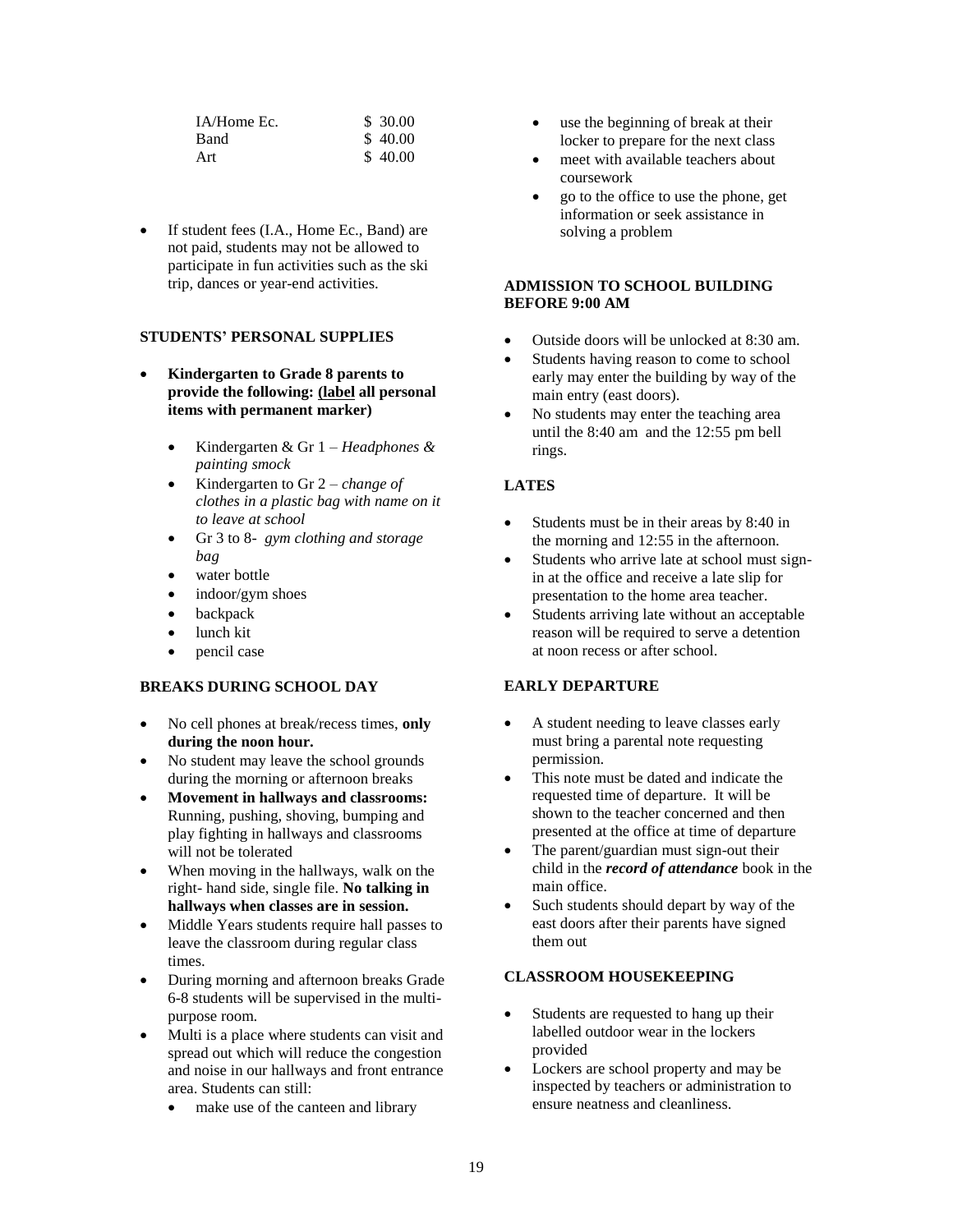| IA/Home Ec. | \$30.00 |
|-------------|---------|
| Band        | \$40.00 |
| Art         | \$40.00 |

If student fees (I.A., Home Ec., Band) are not paid, students may not be allowed to participate in fun activities such as the ski trip, dances or year-end activities.

#### **STUDENTS' PERSONAL SUPPLIES**

- **Kindergarten to Grade 8 parents to provide the following: (label all personal items with permanent marker)**
	- Kindergarten & Gr 1 *– Headphones & painting smock*
	- Kindergarten to Gr 2 *change of clothes in a plastic bag with name on it to leave at school*
	- Gr 3 to 8- *gym clothing and storage bag*
	- water bottle
	- indoor/gym shoes
	- **backpack**
	- lunch kit
	- pencil case

#### **BREAKS DURING SCHOOL DAY**

- No cell phones at break/recess times, **only during the noon hour.**
- No student may leave the school grounds during the morning or afternoon breaks
- **Movement in hallways and classrooms:** Running, pushing, shoving, bumping and play fighting in hallways and classrooms will not be tolerated
- When moving in the hallways, walk on the right- hand side, single file. **No talking in hallways when classes are in session.**
- Middle Years students require hall passes to leave the classroom during regular class times.
- During morning and afternoon breaks Grade 6-8 students will be supervised in the multipurpose room.
- Multi is a place where students can visit and spread out which will reduce the congestion and noise in our hallways and front entrance area. Students can still:
	- make use of the canteen and library
- use the beginning of break at their locker to prepare for the next class
- meet with available teachers about coursework
- go to the office to use the phone, get information or seek assistance in solving a problem

### **ADMISSION TO SCHOOL BUILDING BEFORE 9:00 AM**

- Outside doors will be unlocked at 8:30 am.
- Students having reason to come to school early may enter the building by way of the main entry (east doors).
- No students may enter the teaching area until the 8:40 am and the 12:55 pm bell rings.

## **LATES**

- Students must be in their areas by 8:40 in the morning and 12:55 in the afternoon.
- Students who arrive late at school must signin at the office and receive a late slip for presentation to the home area teacher.
- Students arriving late without an acceptable reason will be required to serve a detention at noon recess or after school.

#### **EARLY DEPARTURE**

- A student needing to leave classes early must bring a parental note requesting permission.
- This note must be dated and indicate the requested time of departure. It will be shown to the teacher concerned and then presented at the office at time of departure
- The parent/guardian must sign-out their child in the *record of attendance* book in the main office.
- Such students should depart by way of the east doors after their parents have signed them out

#### **CLASSROOM HOUSEKEEPING**

- Students are requested to hang up their labelled outdoor wear in the lockers provided
- Lockers are school property and may be inspected by teachers or administration to ensure neatness and cleanliness.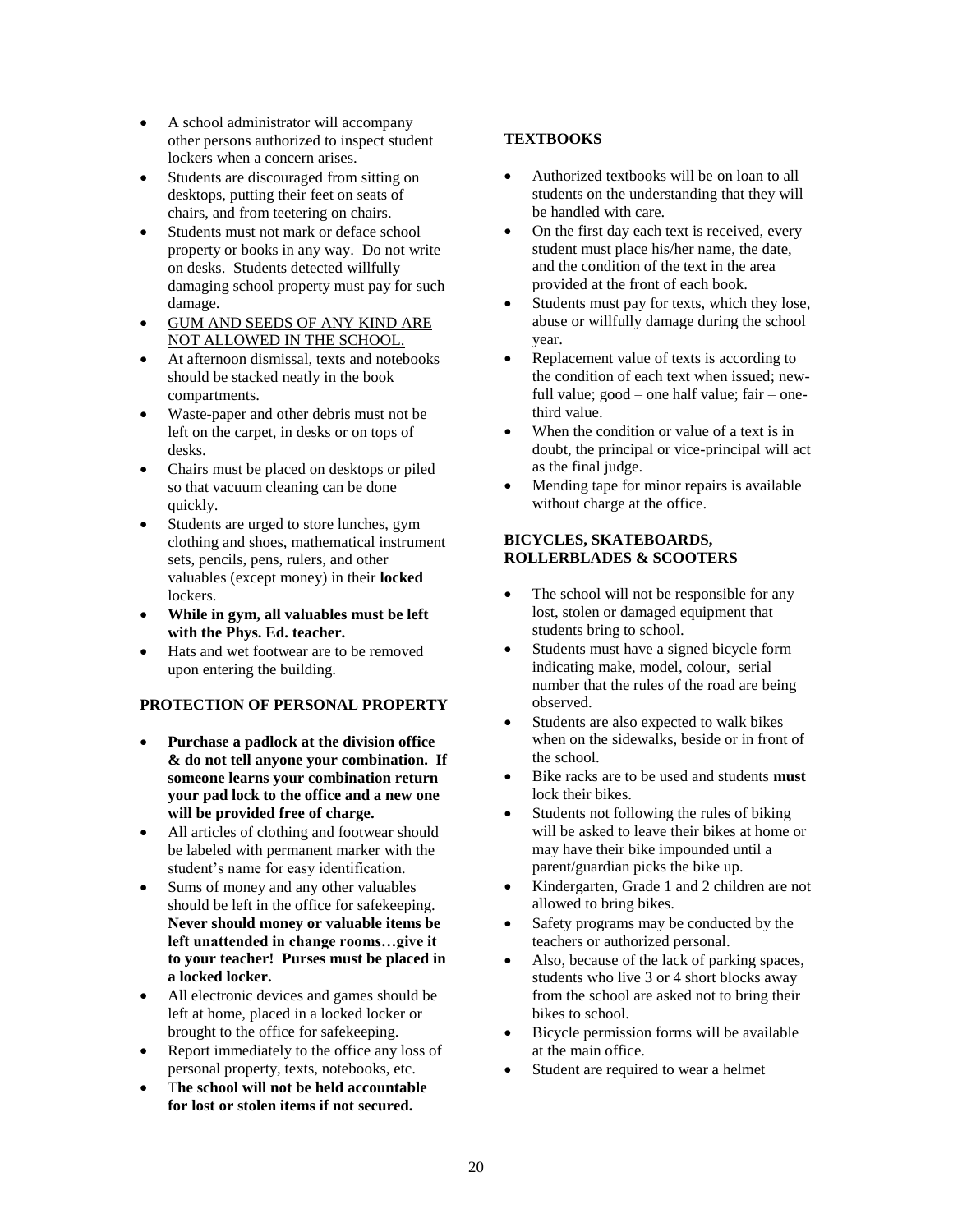- A school administrator will accompany other persons authorized to inspect student lockers when a concern arises.
- Students are discouraged from sitting on desktops, putting their feet on seats of chairs, and from teetering on chairs.
- Students must not mark or deface school property or books in any way. Do not write on desks. Students detected willfully damaging school property must pay for such damage.
- GUM AND SEEDS OF ANY KIND ARE NOT ALLOWED IN THE SCHOOL.
- At afternoon dismissal, texts and notebooks should be stacked neatly in the book compartments.
- Waste-paper and other debris must not be left on the carpet, in desks or on tops of desks.
- Chairs must be placed on desktops or piled so that vacuum cleaning can be done quickly.
- Students are urged to store lunches, gym clothing and shoes, mathematical instrument sets, pencils, pens, rulers, and other valuables (except money) in their **locked**  lockers.
- **While in gym, all valuables must be left with the Phys. Ed. teacher.**
- Hats and wet footwear are to be removed upon entering the building.

## **PROTECTION OF PERSONAL PROPERTY**

- **Purchase a padlock at the division office & do not tell anyone your combination. If someone learns your combination return your pad lock to the office and a new one will be provided free of charge.**
- All articles of clothing and footwear should be labeled with permanent marker with the student's name for easy identification.
- Sums of money and any other valuables should be left in the office for safekeeping. **Never should money or valuable items be left unattended in change rooms…give it to your teacher! Purses must be placed in a locked locker.**
- All electronic devices and games should be left at home, placed in a locked locker or brought to the office for safekeeping.
- Report immediately to the office any loss of personal property, texts, notebooks, etc.
- T**he school will not be held accountable for lost or stolen items if not secured.**

## **TEXTBOOKS**

- Authorized textbooks will be on loan to all students on the understanding that they will be handled with care.
- On the first day each text is received, every student must place his/her name, the date, and the condition of the text in the area provided at the front of each book.
- Students must pay for texts, which they lose, abuse or willfully damage during the school year.
- Replacement value of texts is according to the condition of each text when issued; newfull value; good – one half value;  $fair$  – onethird value.
- When the condition or value of a text is in doubt, the principal or vice-principal will act as the final judge.
- Mending tape for minor repairs is available without charge at the office.

#### **BICYCLES, SKATEBOARDS, ROLLERBLADES & SCOOTERS**

- The school will not be responsible for any lost, stolen or damaged equipment that students bring to school.
- Students must have a signed bicycle form indicating make, model, colour, serial number that the rules of the road are being observed.
- Students are also expected to walk bikes when on the sidewalks, beside or in front of the school.
- Bike racks are to be used and students **must** lock their bikes.
- Students not following the rules of biking will be asked to leave their bikes at home or may have their bike impounded until a parent/guardian picks the bike up.
- Kindergarten, Grade 1 and 2 children are not allowed to bring bikes.
- Safety programs may be conducted by the teachers or authorized personal.
- Also, because of the lack of parking spaces, students who live 3 or 4 short blocks away from the school are asked not to bring their bikes to school.
- Bicycle permission forms will be available at the main office.
- Student are required to wear a helmet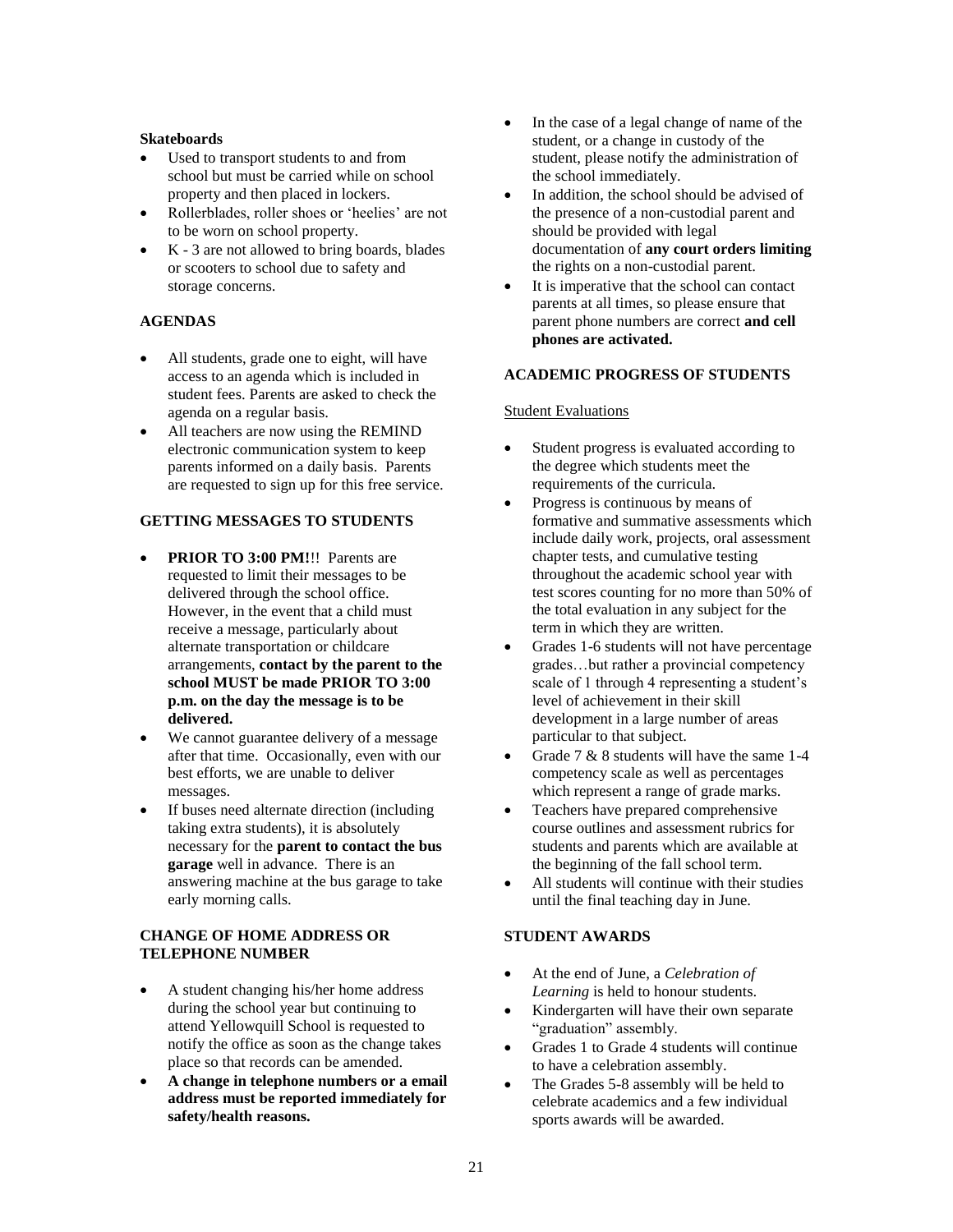#### **Skateboards**

- Used to transport students to and from school but must be carried while on school property and then placed in lockers.
- Rollerblades, roller shoes or 'heelies' are not to be worn on school property.
- K 3 are not allowed to bring boards, blades or scooters to school due to safety and storage concerns.

#### **AGENDAS**

- All students, grade one to eight, will have access to an agenda which is included in student fees. Parents are asked to check the agenda on a regular basis.
- All teachers are now using the REMIND electronic communication system to keep parents informed on a daily basis. Parents are requested to sign up for this free service.

### **GETTING MESSAGES TO STUDENTS**

- **PRIOR TO 3:00 PM!!!** Parents are requested to limit their messages to be delivered through the school office. However, in the event that a child must receive a message, particularly about alternate transportation or childcare arrangements, **contact by the parent to the school MUST be made PRIOR TO 3:00 p.m. on the day the message is to be delivered.**
- We cannot guarantee delivery of a message after that time. Occasionally, even with our best efforts, we are unable to deliver messages.
- If buses need alternate direction (including taking extra students), it is absolutely necessary for the **parent to contact the bus garage** well in advance. There is an answering machine at the bus garage to take early morning calls.

## **CHANGE OF HOME ADDRESS OR TELEPHONE NUMBER**

- A student changing his/her home address during the school year but continuing to attend Yellowquill School is requested to notify the office as soon as the change takes place so that records can be amended.
- **A change in telephone numbers or a email address must be reported immediately for safety/health reasons.**
- In the case of a legal change of name of the student, or a change in custody of the student, please notify the administration of the school immediately.
- In addition, the school should be advised of the presence of a non-custodial parent and should be provided with legal documentation of **any court orders limiting** the rights on a non-custodial parent.
- It is imperative that the school can contact parents at all times, so please ensure that parent phone numbers are correct **and cell phones are activated.**

#### **ACADEMIC PROGRESS OF STUDENTS**

#### Student Evaluations

- Student progress is evaluated according to the degree which students meet the requirements of the curricula.
- Progress is continuous by means of formative and summative assessments which include daily work, projects, oral assessment chapter tests, and cumulative testing throughout the academic school year with test scores counting for no more than 50% of the total evaluation in any subject for the term in which they are written.
- Grades 1-6 students will not have percentage grades…but rather a provincial competency scale of 1 through 4 representing a student's level of achievement in their skill development in a large number of areas particular to that subject.
- Grade 7 & 8 students will have the same 1-4 competency scale as well as percentages which represent a range of grade marks.
- Teachers have prepared comprehensive course outlines and assessment rubrics for students and parents which are available at the beginning of the fall school term.
- All students will continue with their studies until the final teaching day in June.

#### **STUDENT AWARDS**

- At the end of June, a *Celebration of Learning* is held to honour students.
- Kindergarten will have their own separate "graduation" assembly.
- Grades 1 to Grade 4 students will continue to have a celebration assembly.
- The Grades 5-8 assembly will be held to celebrate academics and a few individual sports awards will be awarded.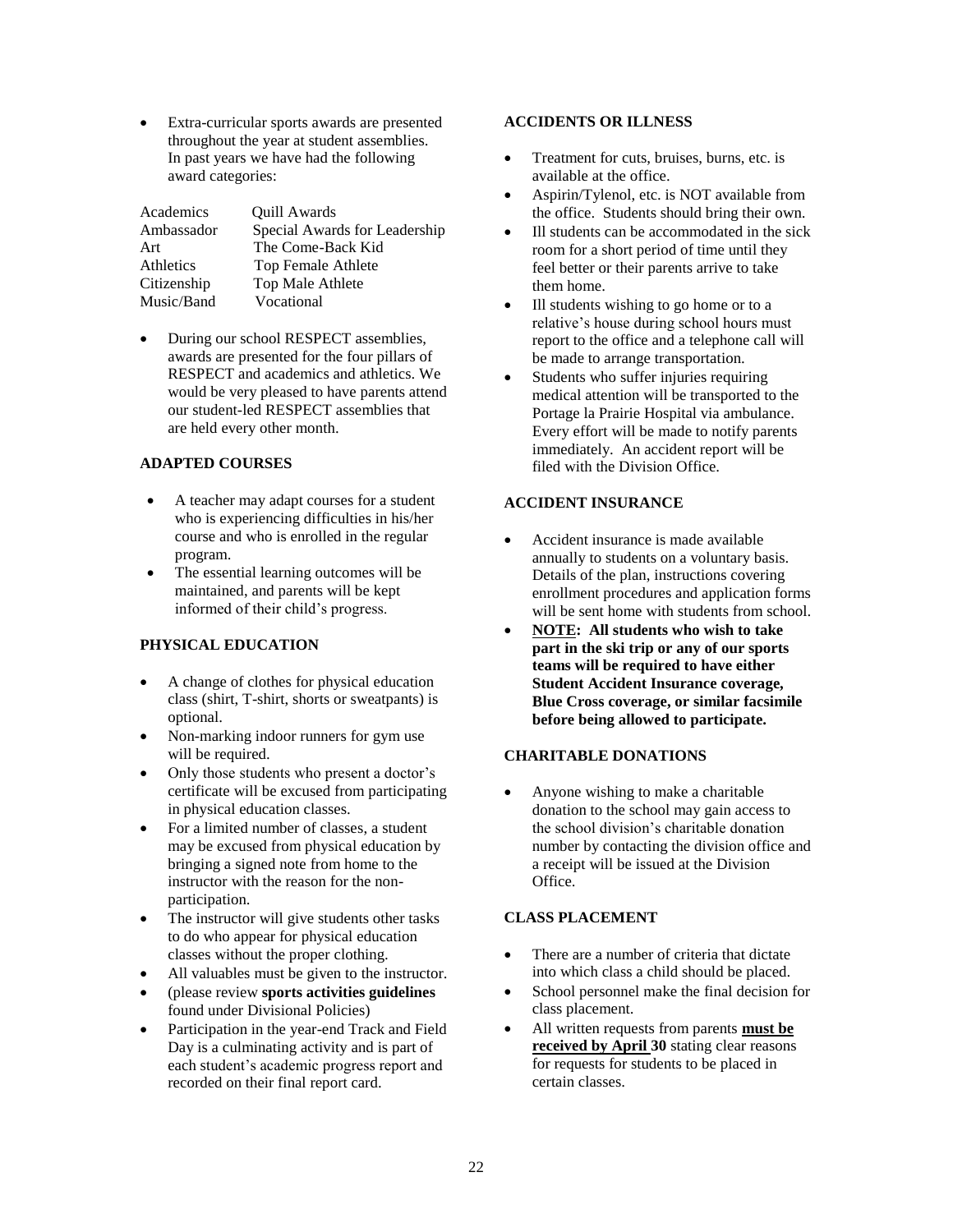• Extra-curricular sports awards are presented throughout the year at student assemblies. In past years we have had the following award categories:

| Academics   | Quill Awards                  |
|-------------|-------------------------------|
| Ambassador  | Special Awards for Leadership |
| Art         | The Come-Back Kid             |
| Athletics   | Top Female Athlete            |
| Citizenship | Top Male Athlete              |
| Music/Band  | Vocational                    |

• During our school RESPECT assemblies, awards are presented for the four pillars of RESPECT and academics and athletics. We would be very pleased to have parents attend our student-led RESPECT assemblies that are held every other month.

#### **ADAPTED COURSES**

- A teacher may adapt courses for a student who is experiencing difficulties in his/her course and who is enrolled in the regular program.
- The essential learning outcomes will be maintained, and parents will be kept informed of their child's progress.

#### **PHYSICAL EDUCATION**

- A change of clothes for physical education class (shirt, T-shirt, shorts or sweatpants) is optional.
- Non-marking indoor runners for gym use will be required.
- Only those students who present a doctor's certificate will be excused from participating in physical education classes.
- For a limited number of classes, a student may be excused from physical education by bringing a signed note from home to the instructor with the reason for the nonparticipation.
- The instructor will give students other tasks to do who appear for physical education classes without the proper clothing.
- All valuables must be given to the instructor.
- (please review **sports activities guidelines** found under Divisional Policies)
- Participation in the year-end Track and Field Day is a culminating activity and is part of each student's academic progress report and recorded on their final report card.

#### **ACCIDENTS OR ILLNESS**

- Treatment for cuts, bruises, burns, etc. is available at the office.
- Aspirin/Tylenol, etc. is NOT available from the office. Students should bring their own.
- Ill students can be accommodated in the sick room for a short period of time until they feel better or their parents arrive to take them home.
- Ill students wishing to go home or to a relative's house during school hours must report to the office and a telephone call will be made to arrange transportation.
- Students who suffer injuries requiring medical attention will be transported to the Portage la Prairie Hospital via ambulance. Every effort will be made to notify parents immediately. An accident report will be filed with the Division Office.

## **ACCIDENT INSURANCE**

- Accident insurance is made available annually to students on a voluntary basis. Details of the plan, instructions covering enrollment procedures and application forms will be sent home with students from school.
- **NOTE: All students who wish to take part in the ski trip or any of our sports teams will be required to have either Student Accident Insurance coverage, Blue Cross coverage, or similar facsimile before being allowed to participate.**

#### **CHARITABLE DONATIONS**

• Anyone wishing to make a charitable donation to the school may gain access to the school division's charitable donation number by contacting the division office and a receipt will be issued at the Division Office.

## **CLASS PLACEMENT**

- There are a number of criteria that dictate into which class a child should be placed.
- School personnel make the final decision for class placement.
- All written requests from parents **must be received by April 30** stating clear reasons for requests for students to be placed in certain classes.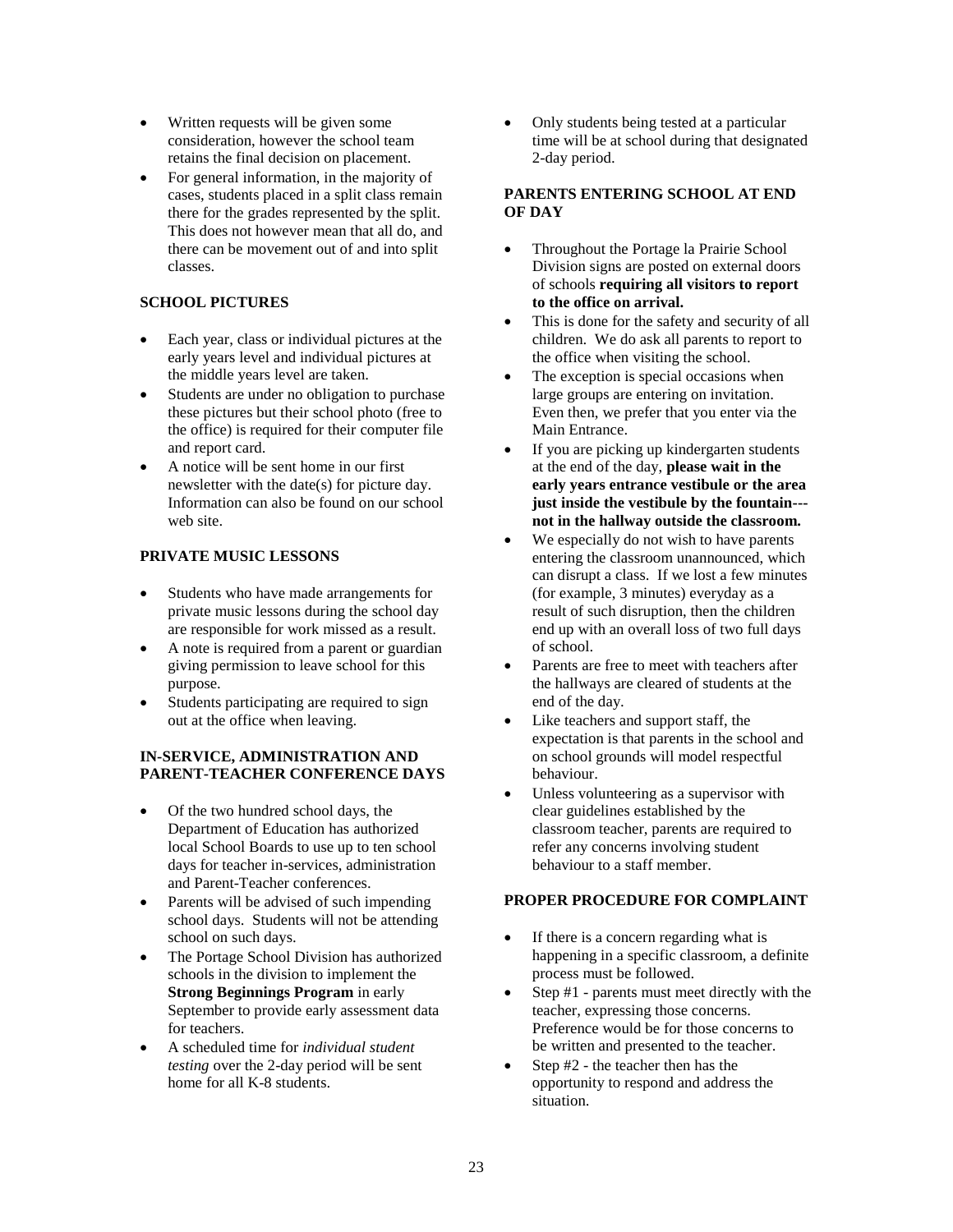- Written requests will be given some consideration, however the school team retains the final decision on placement.
- For general information, in the majority of cases, students placed in a split class remain there for the grades represented by the split. This does not however mean that all do, and there can be movement out of and into split classes.

## **SCHOOL PICTURES**

- Each year, class or individual pictures at the early years level and individual pictures at the middle years level are taken.
- Students are under no obligation to purchase these pictures but their school photo (free to the office) is required for their computer file and report card.
- A notice will be sent home in our first newsletter with the date(s) for picture day. Information can also be found on our school web site.

## **PRIVATE MUSIC LESSONS**

- Students who have made arrangements for private music lessons during the school day are responsible for work missed as a result.
- A note is required from a parent or guardian giving permission to leave school for this purpose.
- Students participating are required to sign out at the office when leaving.

#### **IN-SERVICE, ADMINISTRATION AND PARENT-TEACHER CONFERENCE DAYS**

- Of the two hundred school days, the Department of Education has authorized local School Boards to use up to ten school days for teacher in-services, administration and Parent-Teacher conferences.
- Parents will be advised of such impending school days. Students will not be attending school on such days.
- The Portage School Division has authorized schools in the division to implement the **Strong Beginnings Program** in early September to provide early assessment data for teachers.
- A scheduled time for *individual student testing* over the 2-day period will be sent home for all K-8 students.

• Only students being tested at a particular time will be at school during that designated 2-day period.

#### **PARENTS ENTERING SCHOOL AT END OF DAY**

- Throughout the Portage la Prairie School Division signs are posted on external doors of schools **requiring all visitors to report to the office on arrival.**
- This is done for the safety and security of all children. We do ask all parents to report to the office when visiting the school.
- The exception is special occasions when large groups are entering on invitation. Even then, we prefer that you enter via the Main Entrance.
- If you are picking up kindergarten students at the end of the day, **please wait in the early years entrance vestibule or the area just inside the vestibule by the fountain-- not in the hallway outside the classroom.**
- We especially do not wish to have parents entering the classroom unannounced, which can disrupt a class. If we lost a few minutes (for example, 3 minutes) everyday as a result of such disruption, then the children end up with an overall loss of two full days of school.
- Parents are free to meet with teachers after the hallways are cleared of students at the end of the day.
- Like teachers and support staff, the expectation is that parents in the school and on school grounds will model respectful behaviour.
- Unless volunteering as a supervisor with clear guidelines established by the classroom teacher, parents are required to refer any concerns involving student behaviour to a staff member.

#### **PROPER PROCEDURE FOR COMPLAINT**

- If there is a concern regarding what is happening in a specific classroom, a definite process must be followed.
- Step #1 parents must meet directly with the teacher, expressing those concerns. Preference would be for those concerns to be written and presented to the teacher.
- Step #2 the teacher then has the opportunity to respond and address the situation.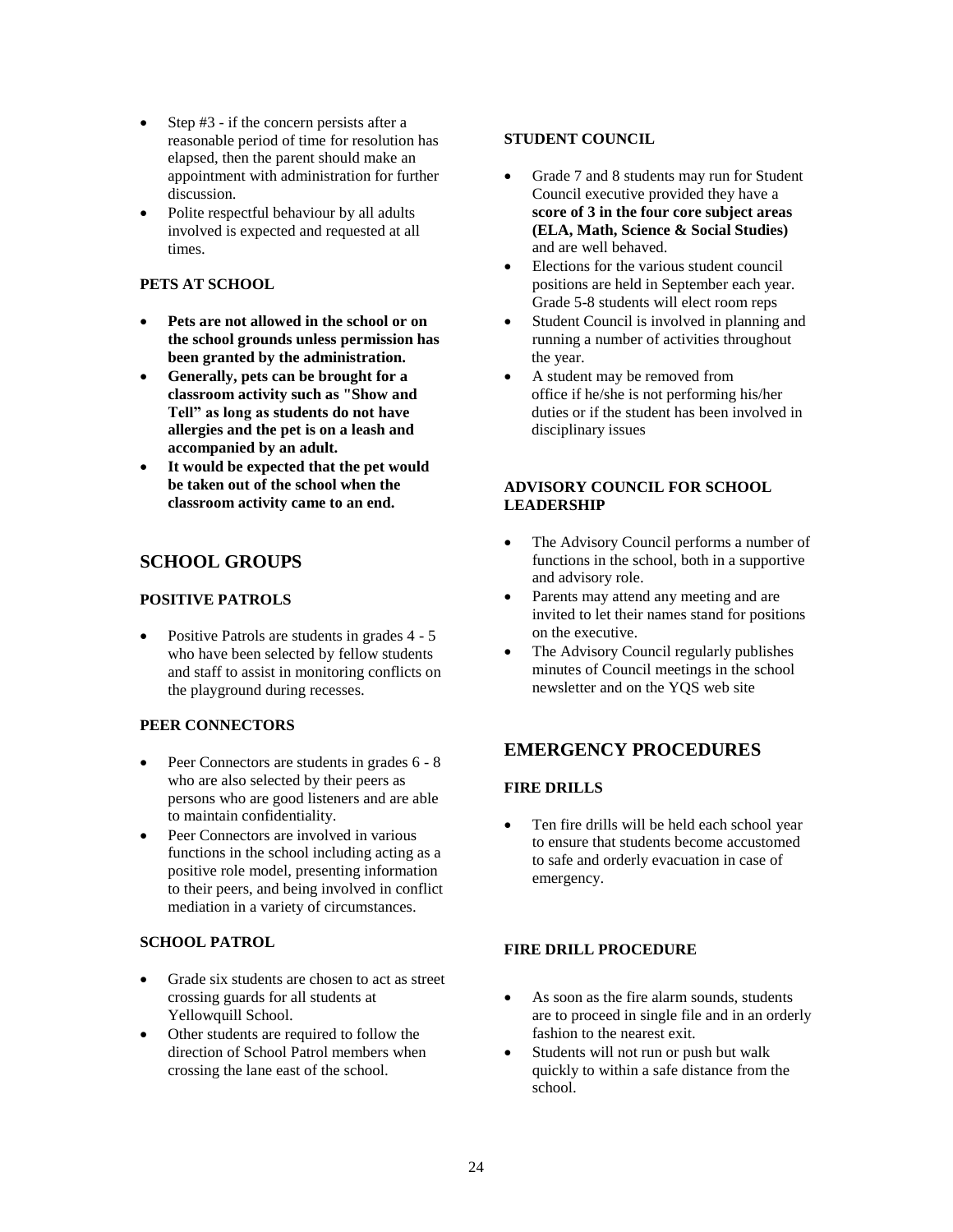- Step #3 if the concern persists after a reasonable period of time for resolution has elapsed, then the parent should make an appointment with administration for further discussion.
- Polite respectful behaviour by all adults involved is expected and requested at all times.

#### **PETS AT SCHOOL**

- **Pets are not allowed in the school or on the school grounds unless permission has been granted by the administration.**
- **Generally, pets can be brought for a classroom activity such as "Show and Tell" as long as students do not have allergies and the pet is on a leash and accompanied by an adult.**
- It would be expected that the pet would **be taken out of the school when the classroom activity came to an end.**

## **SCHOOL GROUPS**

## **POSITIVE PATROLS**

• Positive Patrols are students in grades 4 - 5 who have been selected by fellow students and staff to assist in monitoring conflicts on the playground during recesses.

#### **PEER CONNECTORS**

- Peer Connectors are students in grades  $6 8$ who are also selected by their peers as persons who are good listeners and are able to maintain confidentiality.
- Peer Connectors are involved in various functions in the school including acting as a positive role model, presenting information to their peers, and being involved in conflict mediation in a variety of circumstances.

## **SCHOOL PATROL**

- Grade six students are chosen to act as street crossing guards for all students at Yellowquill School.
- Other students are required to follow the direction of School Patrol members when crossing the lane east of the school.

#### **STUDENT COUNCIL**

- Grade 7 and 8 students may run for Student Council executive provided they have a **score of 3 in the four core subject areas (ELA, Math, Science & Social Studies)** and are well behaved.
- Elections for the various student council positions are held in September each year. Grade 5-8 students will elect room reps
- Student Council is involved in planning and running a number of activities throughout the year.
- A student may be removed from office if he/she is not performing his/her duties or if the student has been involved in disciplinary issues

## **ADVISORY COUNCIL FOR SCHOOL LEADERSHIP**

- The Advisory Council performs a number of functions in the school, both in a supportive and advisory role.
- Parents may attend any meeting and are invited to let their names stand for positions on the executive.
- The Advisory Council regularly publishes minutes of Council meetings in the school newsletter and on the YQS web site

## **EMERGENCY PROCEDURES**

## **FIRE DRILLS**

• Ten fire drills will be held each school year to ensure that students become accustomed to safe and orderly evacuation in case of emergency.

## **FIRE DRILL PROCEDURE**

- As soon as the fire alarm sounds, students are to proceed in single file and in an orderly fashion to the nearest exit.
- Students will not run or push but walk quickly to within a safe distance from the school.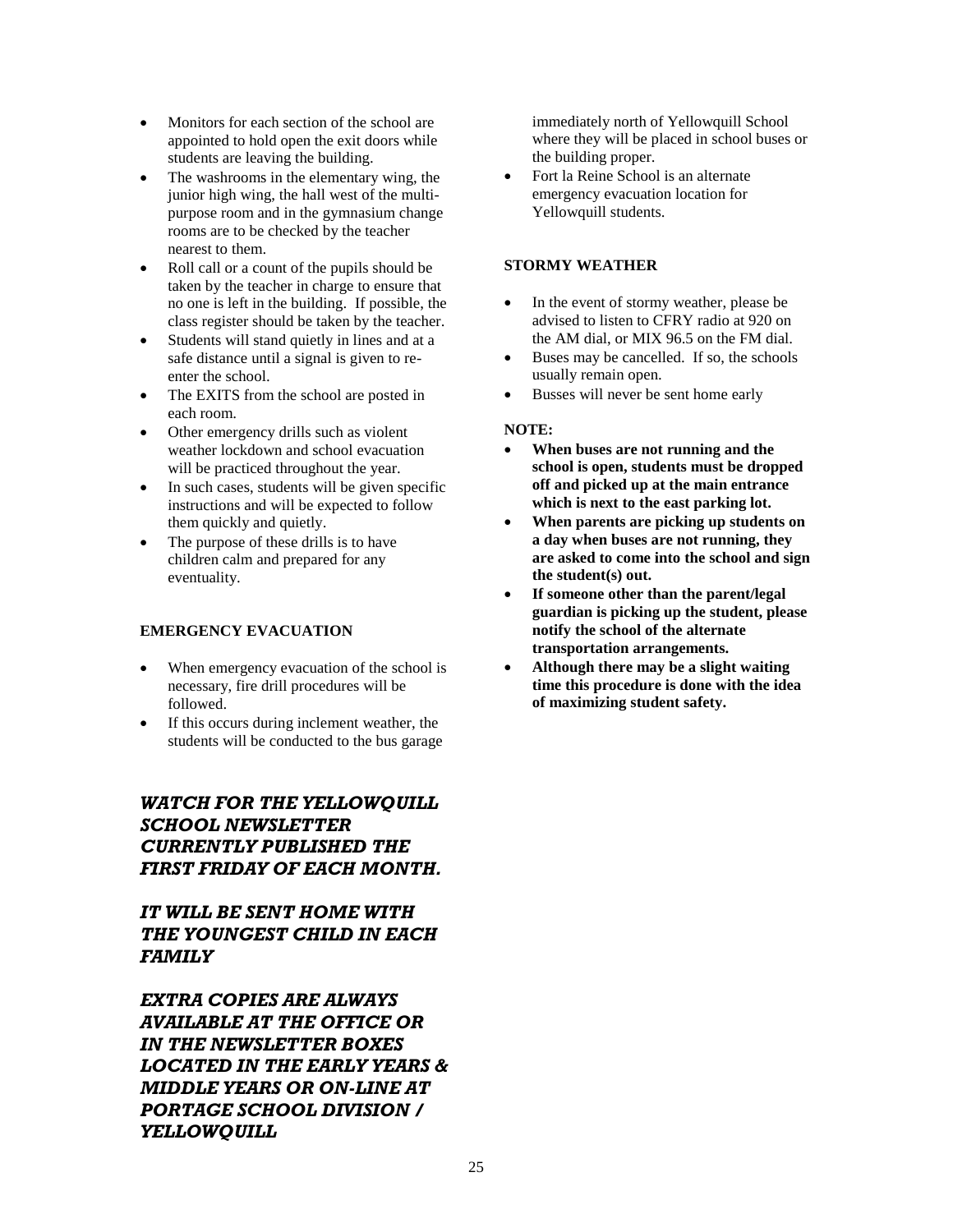- Monitors for each section of the school are appointed to hold open the exit doors while students are leaving the building.
- The washrooms in the elementary wing, the junior high wing, the hall west of the multipurpose room and in the gymnasium change rooms are to be checked by the teacher nearest to them.
- Roll call or a count of the pupils should be taken by the teacher in charge to ensure that no one is left in the building. If possible, the class register should be taken by the teacher.
- Students will stand quietly in lines and at a safe distance until a signal is given to reenter the school.
- The EXITS from the school are posted in each room.
- Other emergency drills such as violent weather lockdown and school evacuation will be practiced throughout the year.
- In such cases, students will be given specific instructions and will be expected to follow them quickly and quietly.
- The purpose of these drills is to have children calm and prepared for any eventuality.

## **EMERGENCY EVACUATION**

- When emergency evacuation of the school is necessary, fire drill procedures will be followed.
- If this occurs during inclement weather, the students will be conducted to the bus garage

## *WATCH FOR THE YELLOWQUILL SCHOOL NEWSLETTER CURRENTLY PUBLISHED THE FIRST FRIDAY OF EACH MONTH.*

## *IT WILL BE SENT HOME WITH THE YOUNGEST CHILD IN EACH FAMILY*

*EXTRA COPIES ARE ALWAYS AVAILABLE AT THE OFFICE OR IN THE NEWSLETTER BOXES LOCATED IN THE EARLY YEARS & MIDDLE YEARS OR ON-LINE AT PORTAGE SCHOOL DIVISION / YELLOWQUILL*

immediately north of Yellowquill School where they will be placed in school buses or the building proper.

• Fort la Reine School is an alternate emergency evacuation location for Yellowquill students.

## **STORMY WEATHER**

- In the event of stormy weather, please be advised to listen to CFRY radio at 920 on the AM dial, or MIX 96.5 on the FM dial.
- Buses may be cancelled. If so, the schools usually remain open.
- Busses will never be sent home early

## **NOTE:**

- **When buses are not running and the school is open, students must be dropped off and picked up at the main entrance which is next to the east parking lot.**
- **When parents are picking up students on a day when buses are not running, they are asked to come into the school and sign the student(s) out.**
- **If someone other than the parent/legal guardian is picking up the student, please notify the school of the alternate transportation arrangements.**
- **Although there may be a slight waiting time this procedure is done with the idea of maximizing student safety.**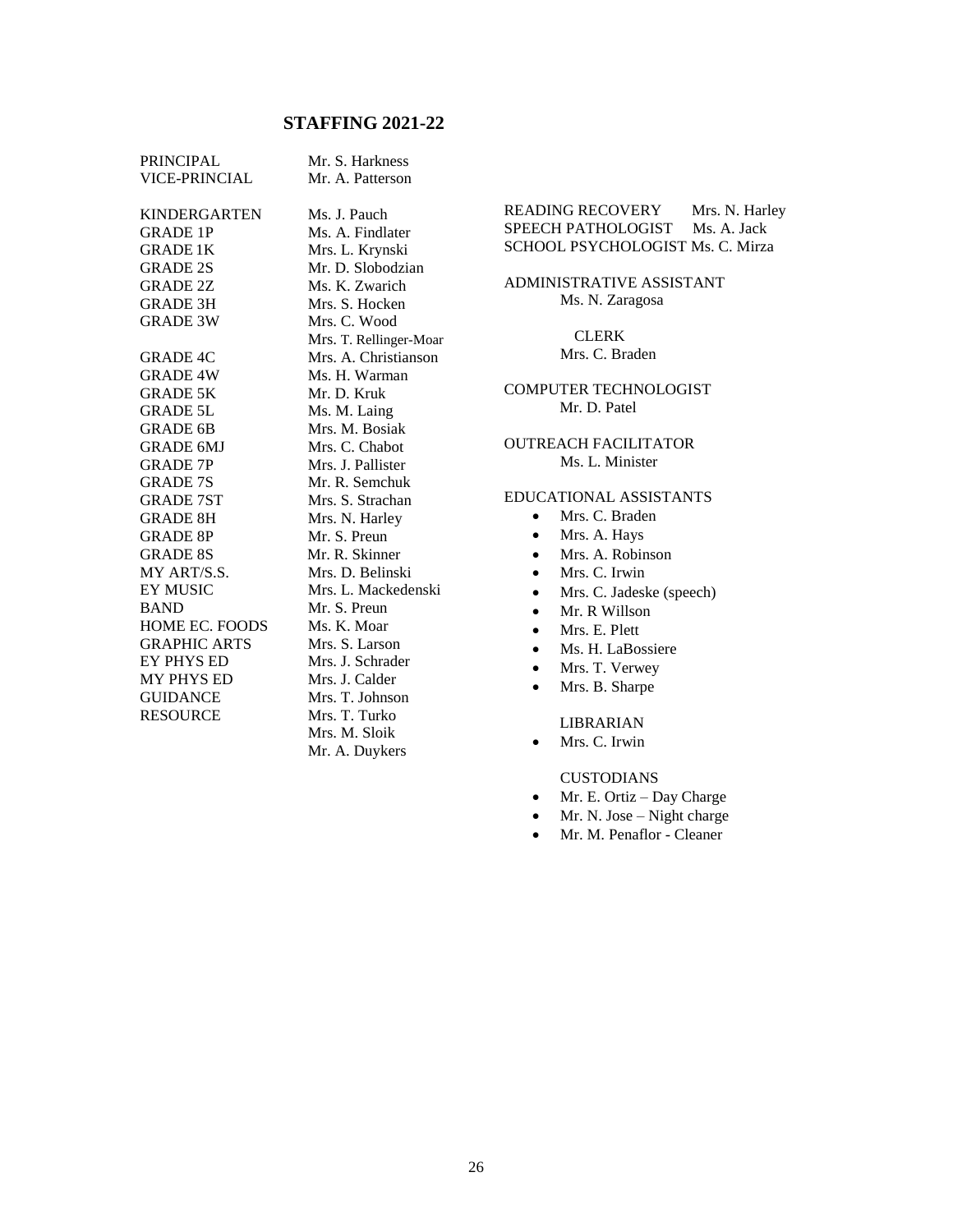## **STAFFING 2021-22**

| <b>PRINCIPAL</b>     | Mr. S. Harkness        |
|----------------------|------------------------|
| <b>VICE-PRINCIAL</b> | Mr. A. Patterson       |
|                      |                        |
| <b>KINDERGARTEN</b>  | Ms. J. Pauch           |
| <b>GRADE 1P</b>      | Ms. A. Findlater       |
| <b>GRADE 1K</b>      | Mrs. L. Krynski        |
| <b>GRADE 2S</b>      | Mr. D. Slobodzian      |
| <b>GRADE 2Z</b>      | Ms. K. Zwarich         |
| <b>GRADE 3H</b>      | Mrs. S. Hocken         |
| <b>GRADE 3W</b>      | Mrs. C. Wood           |
|                      | Mrs. T. Rellinger-Moar |
| <b>GRADE 4C</b>      | Mrs. A. Christianson   |
| <b>GRADE 4W</b>      | Ms. H. Warman          |
| <b>GRADE 5K</b>      | Mr. D. Kruk            |
| <b>GRADE 5L</b>      | Ms. M. Laing           |
| <b>GRADE 6B</b>      | Mrs. M. Bosiak         |
| <b>GRADE 6MJ</b>     | Mrs. C. Chabot         |
| <b>GRADE 7P</b>      | Mrs. J. Pallister      |
| <b>GRADE 7S</b>      | Mr. R. Semchuk         |
| <b>GRADE 7ST</b>     | Mrs. S. Strachan       |
| <b>GRADE 8H</b>      | Mrs. N. Harley         |
| <b>GRADE 8P</b>      | Mr. S. Preun           |
| <b>GRADE 8S</b>      | Mr. R. Skinner         |
| MY ART/S.S.          | Mrs. D. Belinski       |
| <b>EY MUSIC</b>      | Mrs. L. Mackedenski    |
| <b>BAND</b>          | Mr. S. Preun           |
| HOME EC. FOODS       | Ms. K. Moar            |
| <b>GRAPHIC ARTS</b>  | Mrs. S. Larson         |
| <b>EY PHYS ED</b>    | Mrs. J. Schrader       |
| <b>MY PHYS ED</b>    | Mrs. J. Calder         |
| <b>GUIDANCE</b>      | Mrs. T. Johnson        |
| <b>RESOURCE</b>      | Mrs. T. Turko          |
|                      | Mrs. M. Sloik          |
|                      | Mr. A. Duykers         |

READING RECOVERY Mrs. N. Harley SPEECH PATHOLOGIST Ms. A. Jack SCHOOL PSYCHOLOGIST Ms. C. Mirza

ADMINISTRATIVE ASSISTANT Ms. N. Zaragosa

> CLERK Mrs. C. Braden

COMPUTER TECHNOLOGIST Mr. D. Patel

OUTREACH FACILITATOR Ms. L. Minister

#### EDUCATIONAL ASSISTANTS

- Mrs. C. Braden
- Mrs. A. Hays
- Mrs. A. Robinson
- Mrs. C. Irwin
- Mrs. C. Jadeske (speech)
- Mr. R Willson
- Mrs. E. Plett
- Ms. H. LaBossiere
- Mrs. T. Verwey
- Mrs. B. Sharpe

LIBRARIAN

• Mrs. C. Irwin

#### CUSTODIANS

- Mr. E. Ortiz Day Charge
- Mr. N. Jose Night charge
- Mr. M. Penaflor Cleaner